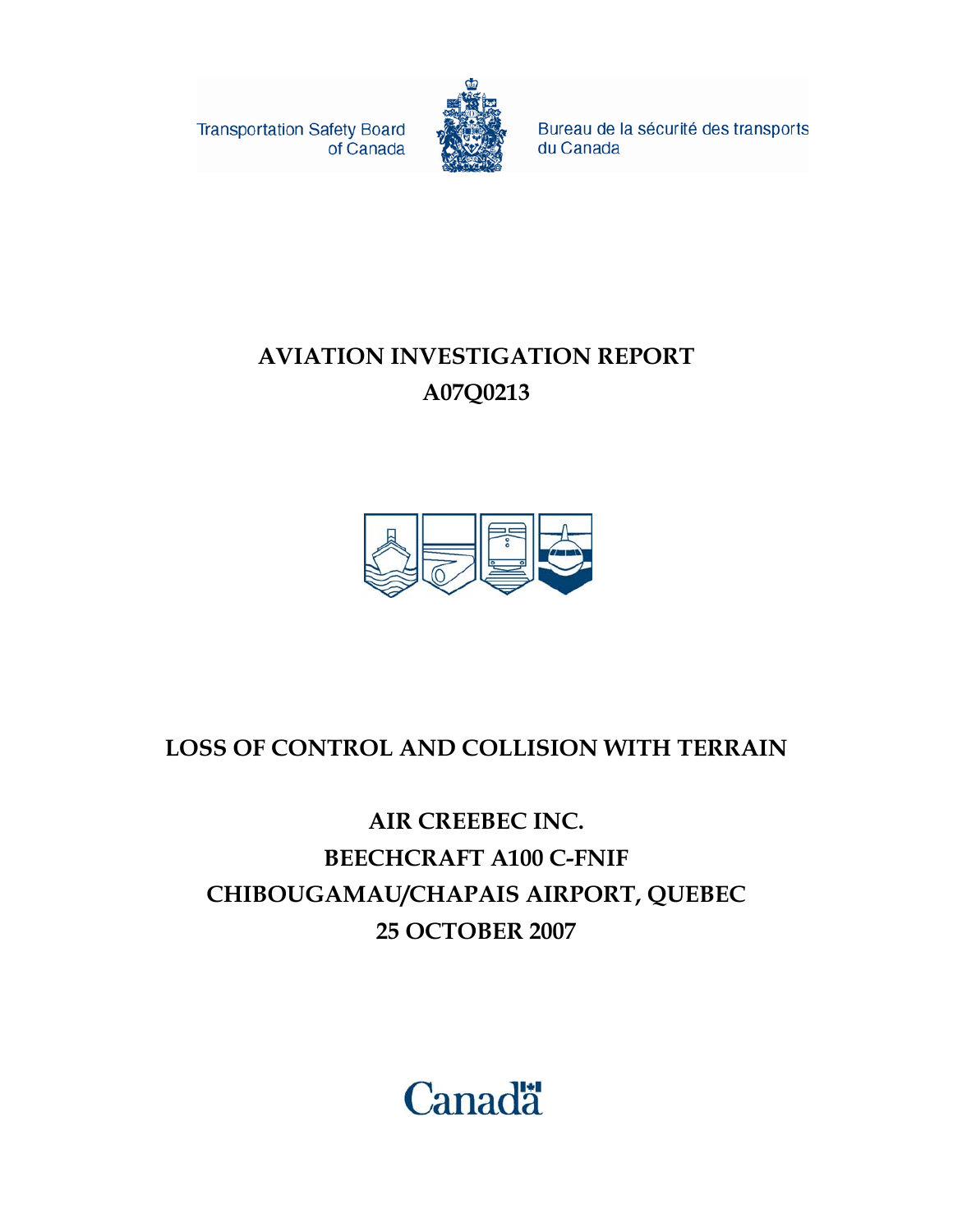**Transportation Safety Board** of Canada



Bureau de la sécurité des transports du Canada

### **AVIATION INVESTIGATION REPORT A07Q0213**



### **LOSS OF CONTROL AND COLLISION WITH TERRAIN**

### **AIR CREEBEC INC. BEECHCRAFT A100 C-FNIF CHIBOUGAMAU/CHAPAIS AIRPORT, QUEBEC 25 OCTOBER 2007**

# **Canadä**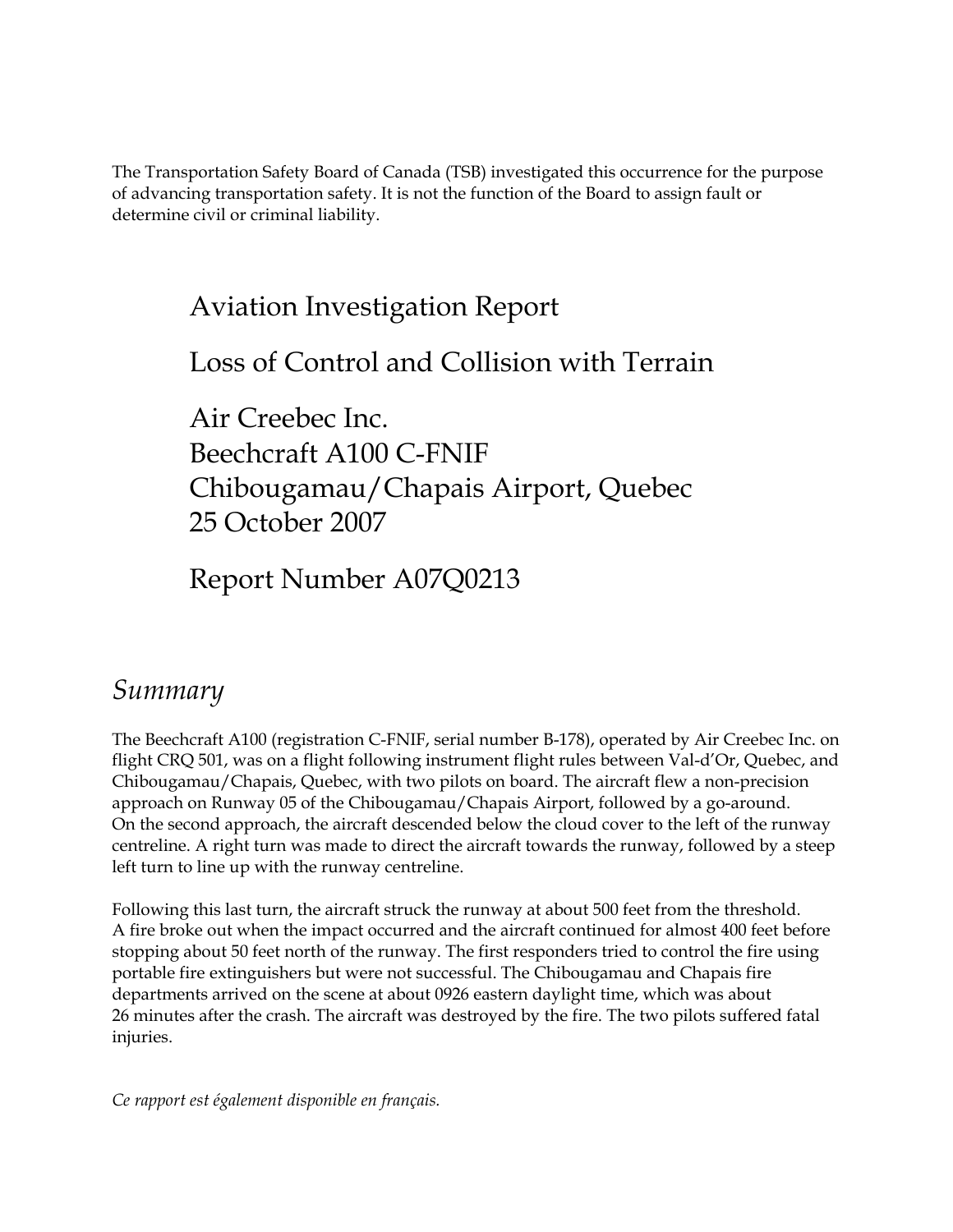The Transportation Safety Board of Canada (TSB) investigated this occurrence for the purpose of advancing transportation safety. It is not the function of the Board to assign fault or determine civil or criminal liability.

### Aviation Investigation Report

Loss of Control and Collision with Terrain

Air Creebec Inc. Beechcraft A100 C-FNIF Chibougamau/Chapais Airport, Quebec 25 October 2007

Report Number A07Q0213

### *Summary*

The Beechcraft A100 (registration C-FNIF, serial number B-178), operated by Air Creebec Inc. on flight CRQ 501, was on a flight following instrument flight rules between Val-d'Or, Quebec, and Chibougamau/Chapais, Quebec, with two pilots on board. The aircraft flew a non-precision approach on Runway 05 of the Chibougamau/Chapais Airport, followed by a go-around. On the second approach, the aircraft descended below the cloud cover to the left of the runway centreline. A right turn was made to direct the aircraft towards the runway, followed by a steep left turn to line up with the runway centreline.

Following this last turn, the aircraft struck the runway at about 500 feet from the threshold. A fire broke out when the impact occurred and the aircraft continued for almost 400 feet before stopping about 50 feet north of the runway. The first responders tried to control the fire using portable fire extinguishers but were not successful. The Chibougamau and Chapais fire departments arrived on the scene at about 0926 eastern daylight time, which was about 26 minutes after the crash. The aircraft was destroyed by the fire. The two pilots suffered fatal injuries.

*Ce rapport est également disponible en français.*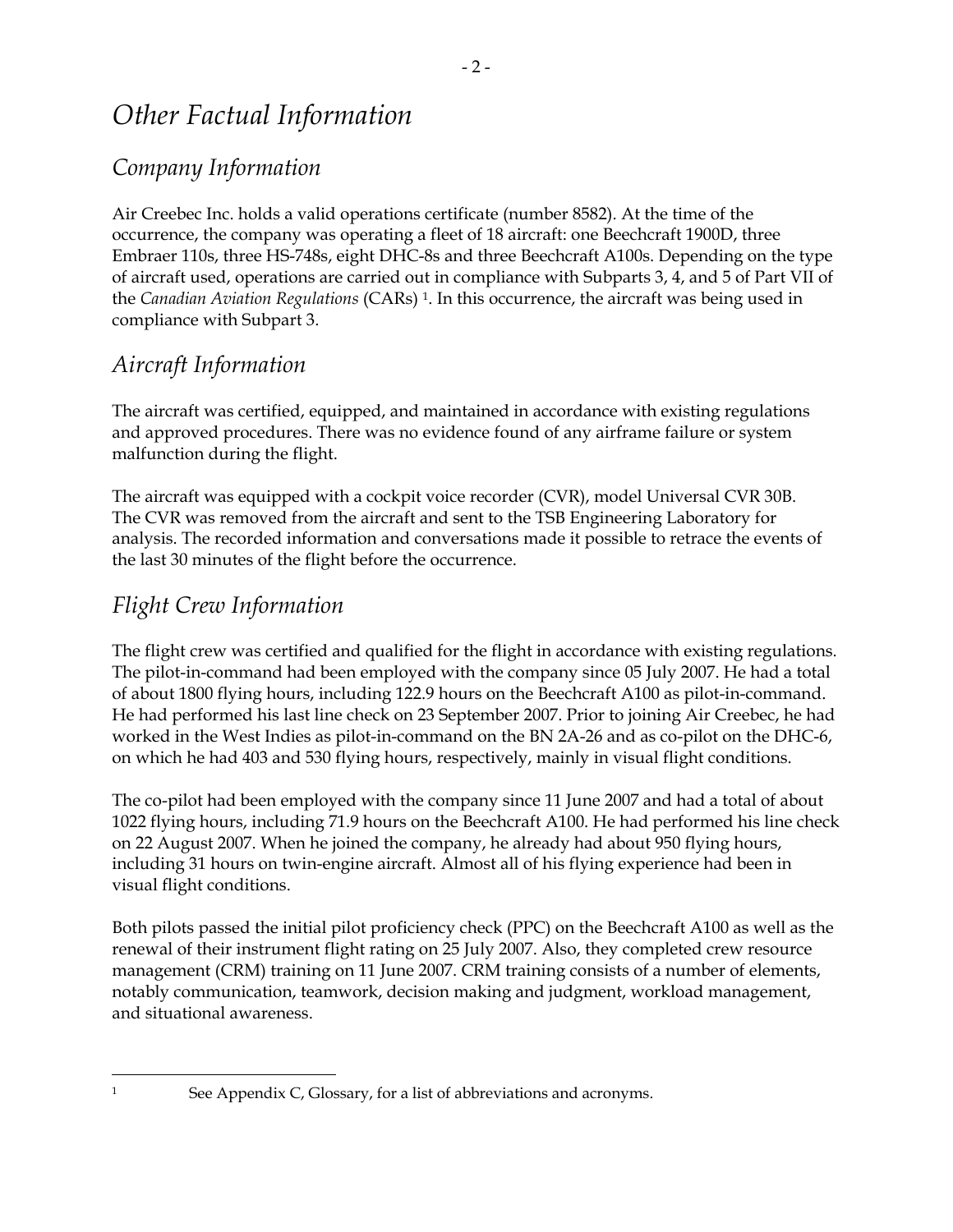### *Other Factual Information*

#### *Company Information*

Air Creebec Inc. holds a valid operations certificate (number 8582). At the time of the occurrence, the company was operating a fleet of 18 aircraft: one Beechcraft 1900D, three Embraer 110s, three HS-748s, eight DHC-8s and three Beechcraft A100s. Depending on the type of aircraft used, operations are carried out in compliance with Subparts 3, 4, and 5 of Part VII of the *Canadian Aviation Regulations* (CARs) 1. In this occurrence, the aircraft was being used in compliance with Subpart 3.

#### *Aircraft Information*

The aircraft was certified, equipped, and maintained in accordance with existing regulations and approved procedures. There was no evidence found of any airframe failure or system malfunction during the flight.

The aircraft was equipped with a cockpit voice recorder (CVR), model Universal CVR 30B. The CVR was removed from the aircraft and sent to the TSB Engineering Laboratory for analysis. The recorded information and conversations made it possible to retrace the events of the last 30 minutes of the flight before the occurrence.

#### *Flight Crew Information*

 $\ddot{\phantom{a}}$ 

The flight crew was certified and qualified for the flight in accordance with existing regulations. The pilot-in-command had been employed with the company since 05 July 2007. He had a total of about 1800 flying hours, including 122.9 hours on the Beechcraft A100 as pilot-in-command. He had performed his last line check on 23 September 2007. Prior to joining Air Creebec, he had worked in the West Indies as pilot-in-command on the BN 2A-26 and as co-pilot on the DHC-6, on which he had 403 and 530 flying hours, respectively, mainly in visual flight conditions.

The co-pilot had been employed with the company since 11 June 2007 and had a total of about 1022 flying hours, including 71.9 hours on the Beechcraft A100. He had performed his line check on 22 August 2007. When he joined the company, he already had about 950 flying hours, including 31 hours on twin-engine aircraft. Almost all of his flying experience had been in visual flight conditions.

Both pilots passed the initial pilot proficiency check (PPC) on the Beechcraft A100 as well as the renewal of their instrument flight rating on 25 July 2007. Also, they completed crew resource management (CRM) training on 11 June 2007. CRM training consists of a number of elements, notably communication, teamwork, decision making and judgment, workload management, and situational awareness.

<sup>&</sup>lt;sup>1</sup> See Appendix C, Glossary, for a list of abbreviations and acronyms.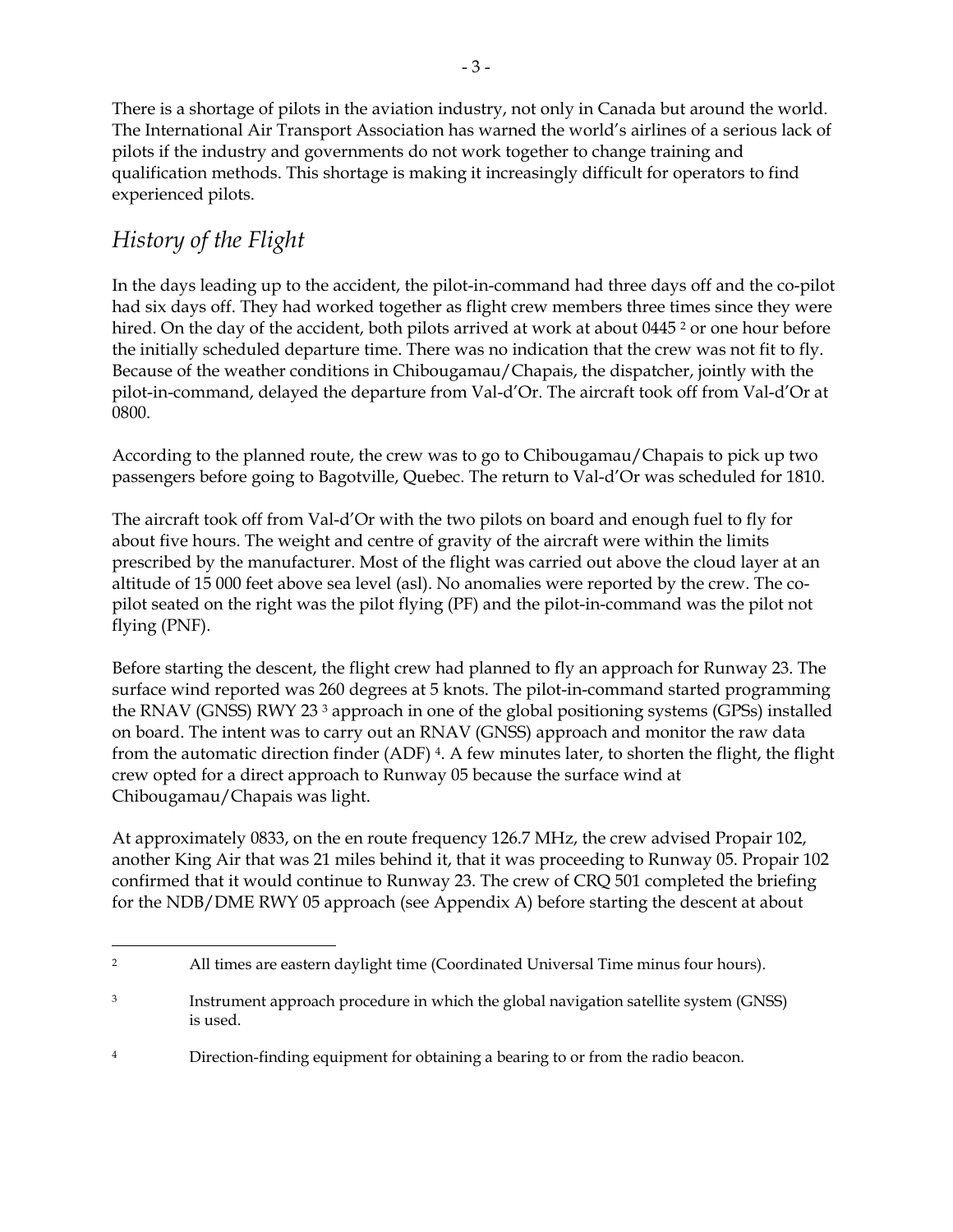There is a shortage of pilots in the aviation industry, not only in Canada but around the world. The International Air Transport Association has warned the world's airlines of a serious lack of pilots if the industry and governments do not work together to change training and qualification methods. This shortage is making it increasingly difficult for operators to find experienced pilots.

#### *History of the Flight*

In the days leading up to the accident, the pilot-in-command had three days off and the co-pilot had six days off. They had worked together as flight crew members three times since they were hired. On the day of the accident, both pilots arrived at work at about 0445<sup>2</sup> or one hour before the initially scheduled departure time. There was no indication that the crew was not fit to fly. Because of the weather conditions in Chibougamau/Chapais, the dispatcher, jointly with the pilot-in-command, delayed the departure from Val-d'Or. The aircraft took off from Val-d'Or at 0800.

According to the planned route, the crew was to go to Chibougamau/Chapais to pick up two passengers before going to Bagotville, Quebec. The return to Val-d'Or was scheduled for 1810.

The aircraft took off from Val-d'Or with the two pilots on board and enough fuel to fly for about five hours. The weight and centre of gravity of the aircraft were within the limits prescribed by the manufacturer. Most of the flight was carried out above the cloud layer at an altitude of 15 000 feet above sea level (asl). No anomalies were reported by the crew. The copilot seated on the right was the pilot flying (PF) and the pilot-in-command was the pilot not flying (PNF).

Before starting the descent, the flight crew had planned to fly an approach for Runway 23. The surface wind reported was 260 degrees at 5 knots. The pilot-in-command started programming the RNAV (GNSS) RWY 23 3 approach in one of the global positioning systems (GPSs) installed on board. The intent was to carry out an RNAV (GNSS) approach and monitor the raw data from the automatic direction finder (ADF) 4. A few minutes later, to shorten the flight, the flight crew opted for a direct approach to Runway 05 because the surface wind at Chibougamau/Chapais was light.

At approximately 0833, on the en route frequency 126.7 MHz, the crew advised Propair 102, another King Air that was 21 miles behind it, that it was proceeding to Runway 05. Propair 102 confirmed that it would continue to Runway 23. The crew of CRQ 501 completed the briefing for the NDB/DME RWY 05 approach (see Appendix A) before starting the descent at about

<sup>&</sup>lt;u>.</u> 2 All times are eastern daylight time (Coordinated Universal Time minus four hours).

<sup>&</sup>lt;sup>3</sup> Instrument approach procedure in which the global navigation satellite system (GNSS) is used.

<sup>&</sup>lt;sup>4</sup> Direction-finding equipment for obtaining a bearing to or from the radio beacon.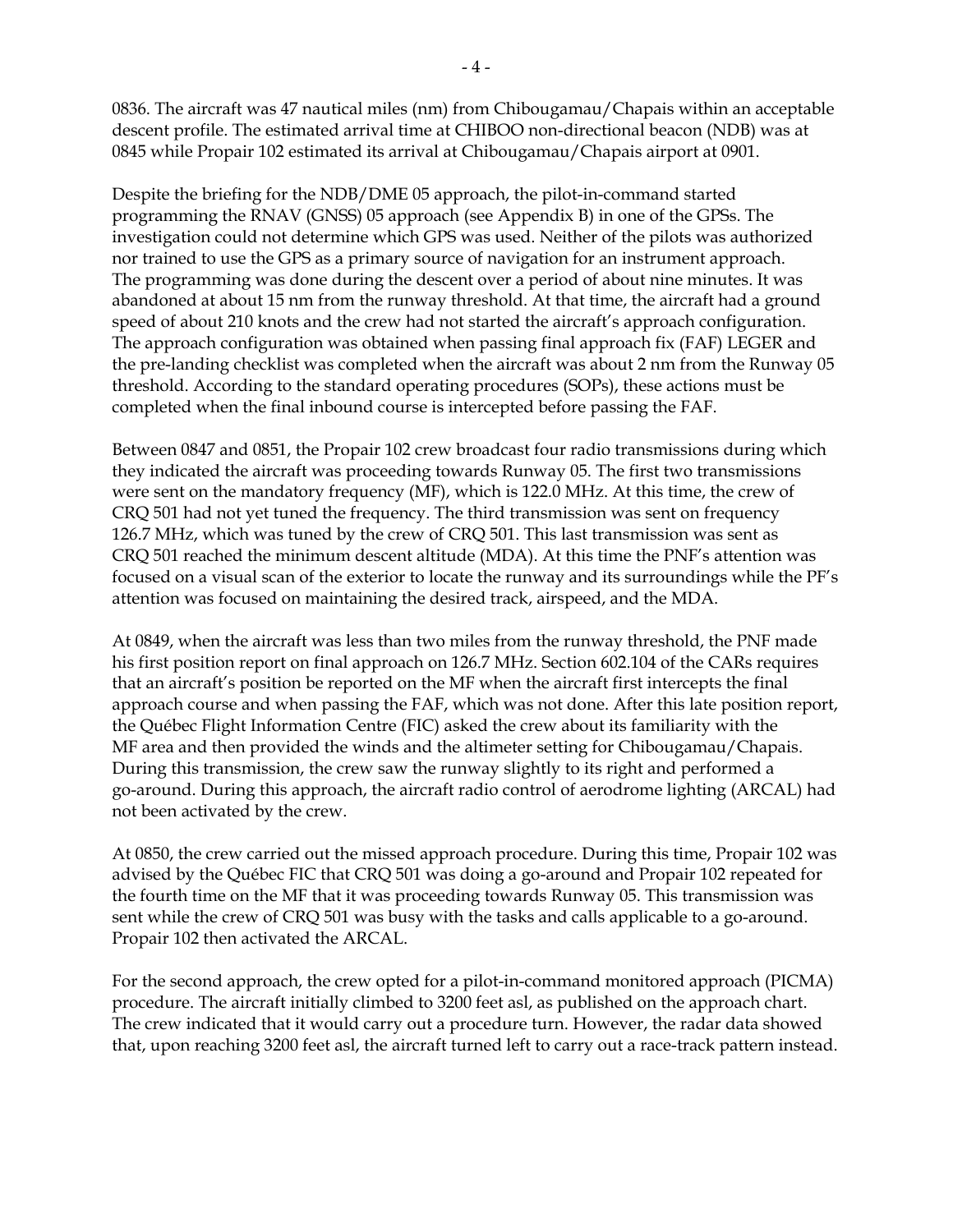0836. The aircraft was 47 nautical miles (nm) from Chibougamau/Chapais within an acceptable descent profile. The estimated arrival time at CHIBOO non-directional beacon (NDB) was at 0845 while Propair 102 estimated its arrival at Chibougamau/Chapais airport at 0901.

Despite the briefing for the NDB/DME 05 approach, the pilot-in-command started programming the RNAV (GNSS) 05 approach (see Appendix B) in one of the GPSs. The investigation could not determine which GPS was used. Neither of the pilots was authorized nor trained to use the GPS as a primary source of navigation for an instrument approach. The programming was done during the descent over a period of about nine minutes. It was abandoned at about 15 nm from the runway threshold. At that time, the aircraft had a ground speed of about 210 knots and the crew had not started the aircraft's approach configuration. The approach configuration was obtained when passing final approach fix (FAF) LEGER and the pre-landing checklist was completed when the aircraft was about 2 nm from the Runway 05 threshold. According to the standard operating procedures (SOPs), these actions must be completed when the final inbound course is intercepted before passing the FAF.

Between 0847 and 0851, the Propair 102 crew broadcast four radio transmissions during which they indicated the aircraft was proceeding towards Runway 05. The first two transmissions were sent on the mandatory frequency (MF), which is 122.0 MHz. At this time, the crew of CRQ 501 had not yet tuned the frequency. The third transmission was sent on frequency 126.7 MHz, which was tuned by the crew of CRQ 501. This last transmission was sent as CRQ 501 reached the minimum descent altitude (MDA). At this time the PNF's attention was focused on a visual scan of the exterior to locate the runway and its surroundings while the PF's attention was focused on maintaining the desired track, airspeed, and the MDA.

At 0849, when the aircraft was less than two miles from the runway threshold, the PNF made his first position report on final approach on 126.7 MHz. Section 602.104 of the CARs requires that an aircraft's position be reported on the MF when the aircraft first intercepts the final approach course and when passing the FAF, which was not done. After this late position report, the Québec Flight Information Centre (FIC) asked the crew about its familiarity with the MF area and then provided the winds and the altimeter setting for Chibougamau/Chapais. During this transmission, the crew saw the runway slightly to its right and performed a go-around. During this approach, the aircraft radio control of aerodrome lighting (ARCAL) had not been activated by the crew.

At 0850, the crew carried out the missed approach procedure. During this time, Propair 102 was advised by the Québec FIC that CRQ 501 was doing a go-around and Propair 102 repeated for the fourth time on the MF that it was proceeding towards Runway 05. This transmission was sent while the crew of CRQ 501 was busy with the tasks and calls applicable to a go-around. Propair 102 then activated the ARCAL.

For the second approach, the crew opted for a pilot-in-command monitored approach (PICMA) procedure. The aircraft initially climbed to 3200 feet asl, as published on the approach chart. The crew indicated that it would carry out a procedure turn. However, the radar data showed that, upon reaching 3200 feet asl, the aircraft turned left to carry out a race-track pattern instead.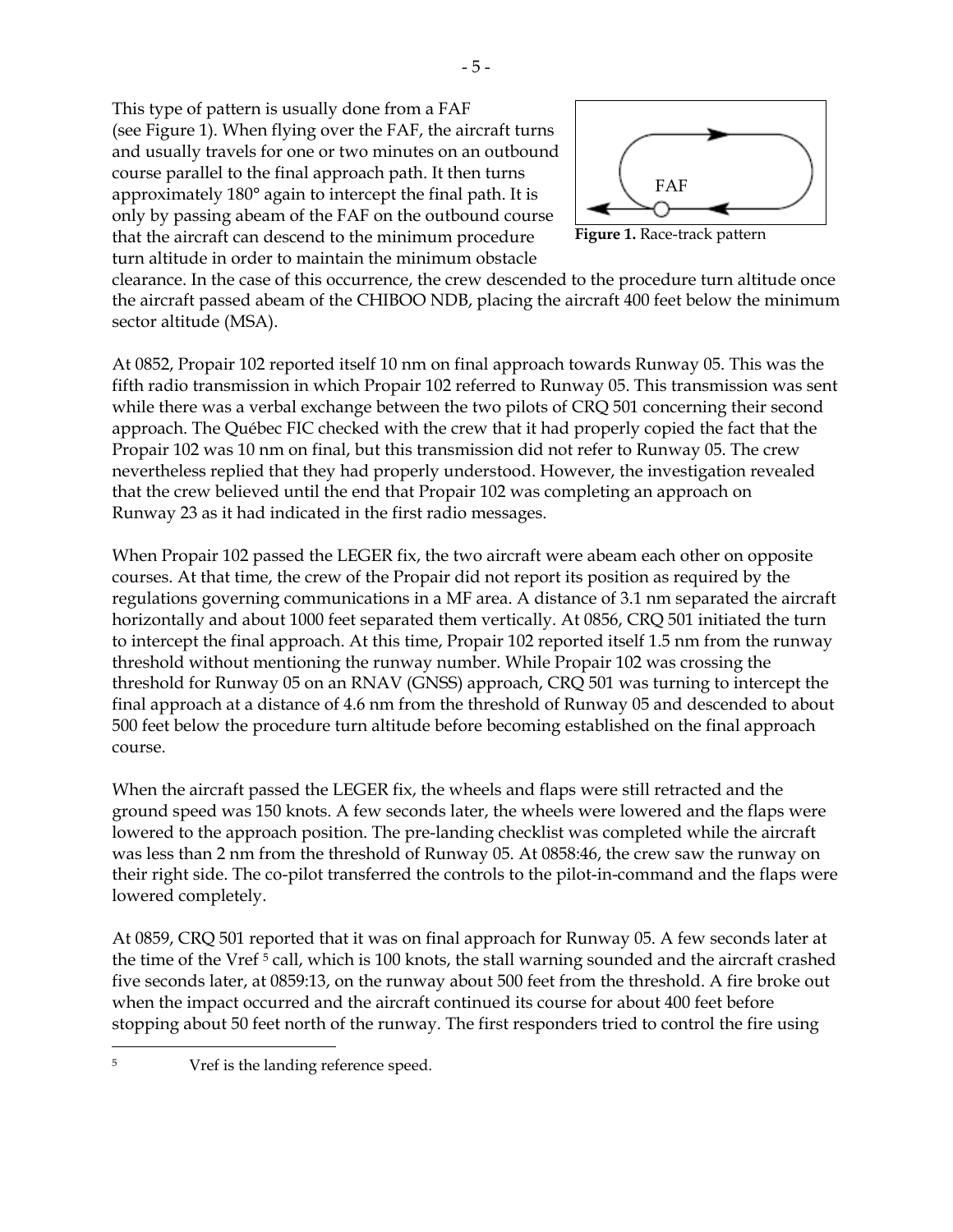This type of pattern is usually done from a FAF (see Figure 1). When flying over the FAF, the aircraft turns and usually travels for one or two minutes on an outbound course parallel to the final approach path. It then turns approximately 180° again to intercept the final path. It is only by passing abeam of the FAF on the outbound course that the aircraft can descend to the minimum procedure turn altitude in order to maintain the minimum obstacle



**Figure 1.** Race-track pattern

clearance. In the case of this occurrence, the crew descended to the procedure turn altitude once the aircraft passed abeam of the CHIBOO NDB, placing the aircraft 400 feet below the minimum sector altitude (MSA).

At 0852, Propair 102 reported itself 10 nm on final approach towards Runway 05. This was the fifth radio transmission in which Propair 102 referred to Runway 05. This transmission was sent while there was a verbal exchange between the two pilots of CRQ 501 concerning their second approach. The Québec FIC checked with the crew that it had properly copied the fact that the Propair 102 was 10 nm on final, but this transmission did not refer to Runway 05. The crew nevertheless replied that they had properly understood. However, the investigation revealed that the crew believed until the end that Propair 102 was completing an approach on Runway 23 as it had indicated in the first radio messages.

When Propair 102 passed the LEGER fix, the two aircraft were abeam each other on opposite courses. At that time, the crew of the Propair did not report its position as required by the regulations governing communications in a MF area. A distance of 3.1 nm separated the aircraft horizontally and about 1000 feet separated them vertically. At 0856, CRQ 501 initiated the turn to intercept the final approach. At this time, Propair 102 reported itself 1.5 nm from the runway threshold without mentioning the runway number. While Propair 102 was crossing the threshold for Runway 05 on an RNAV (GNSS) approach, CRQ 501 was turning to intercept the final approach at a distance of 4.6 nm from the threshold of Runway 05 and descended to about 500 feet below the procedure turn altitude before becoming established on the final approach course.

When the aircraft passed the LEGER fix, the wheels and flaps were still retracted and the ground speed was 150 knots. A few seconds later, the wheels were lowered and the flaps were lowered to the approach position. The pre-landing checklist was completed while the aircraft was less than 2 nm from the threshold of Runway 05. At 0858:46, the crew saw the runway on their right side. The co-pilot transferred the controls to the pilot-in-command and the flaps were lowered completely.

At 0859, CRQ 501 reported that it was on final approach for Runway 05. A few seconds later at the time of the Vref 5 call, which is 100 knots, the stall warning sounded and the aircraft crashed five seconds later, at 0859:13, on the runway about 500 feet from the threshold. A fire broke out when the impact occurred and the aircraft continued its course for about 400 feet before stopping about 50 feet north of the runway. The first responders tried to control the fire using

 $\overline{a}$ 

<sup>5</sup> Vref is the landing reference speed.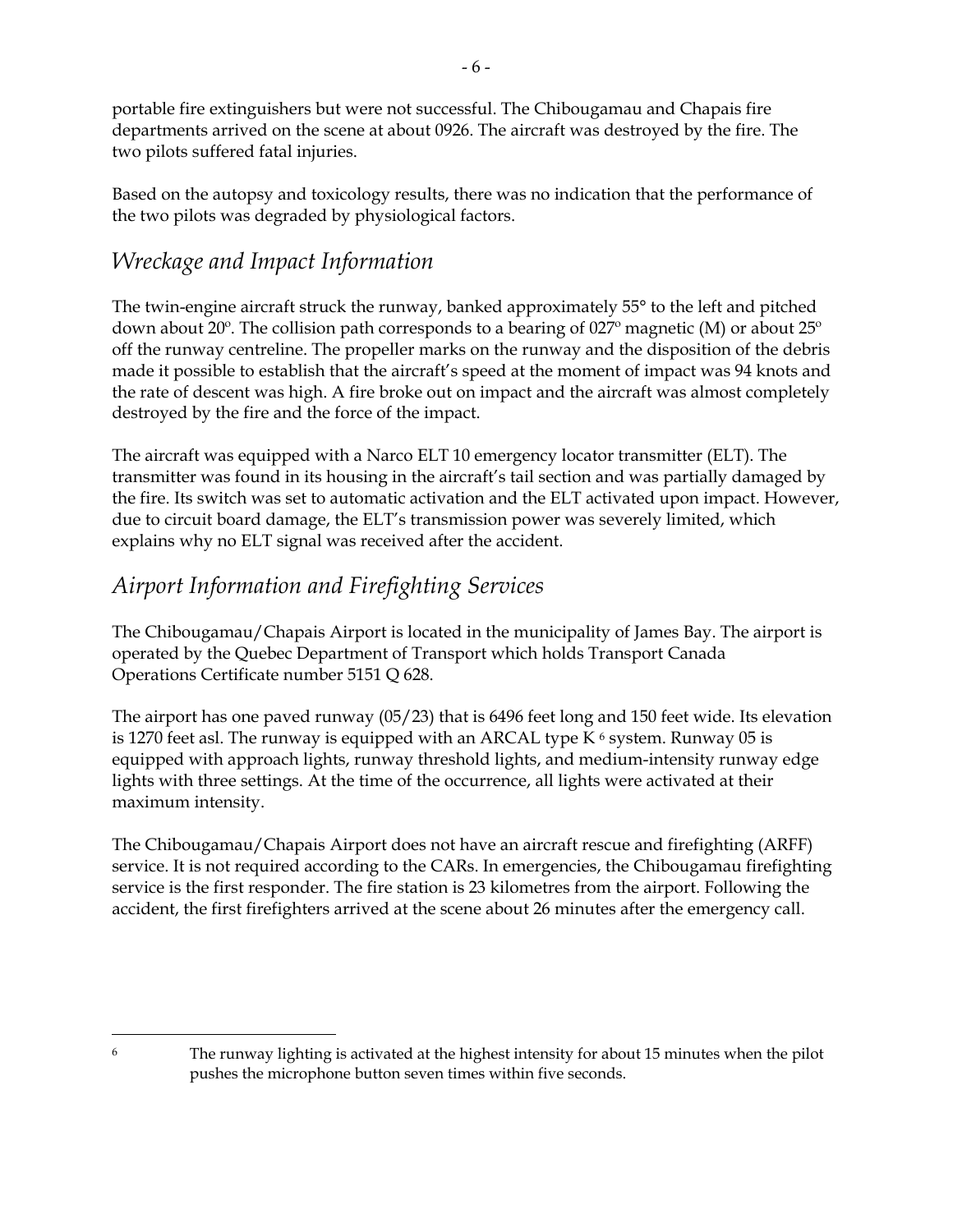portable fire extinguishers but were not successful. The Chibougamau and Chapais fire departments arrived on the scene at about 0926. The aircraft was destroyed by the fire. The two pilots suffered fatal injuries.

Based on the autopsy and toxicology results, there was no indication that the performance of the two pilots was degraded by physiological factors.

#### *Wreckage and Impact Information*

The twin-engine aircraft struck the runway, banked approximately 55° to the left and pitched down about 20 $\degree$ . The collision path corresponds to a bearing of 027 $\degree$  magnetic (M) or about 25 $\degree$ off the runway centreline. The propeller marks on the runway and the disposition of the debris made it possible to establish that the aircraft's speed at the moment of impact was 94 knots and the rate of descent was high. A fire broke out on impact and the aircraft was almost completely destroyed by the fire and the force of the impact.

The aircraft was equipped with a Narco ELT 10 emergency locator transmitter (ELT). The transmitter was found in its housing in the aircraft's tail section and was partially damaged by the fire. Its switch was set to automatic activation and the ELT activated upon impact. However, due to circuit board damage, the ELT's transmission power was severely limited, which explains why no ELT signal was received after the accident.

#### *Airport Information and Firefighting Services*

The Chibougamau/Chapais Airport is located in the municipality of James Bay. The airport is operated by the Quebec Department of Transport which holds Transport Canada Operations Certificate number 5151 Q 628.

The airport has one paved runway (05/23) that is 6496 feet long and 150 feet wide. Its elevation is 1270 feet asl. The runway is equipped with an ARCAL type  $K<sup>6</sup>$  system. Runway 05 is equipped with approach lights, runway threshold lights, and medium-intensity runway edge lights with three settings. At the time of the occurrence, all lights were activated at their maximum intensity.

The Chibougamau/Chapais Airport does not have an aircraft rescue and firefighting (ARFF) service. It is not required according to the CARs. In emergencies, the Chibougamau firefighting service is the first responder. The fire station is 23 kilometres from the airport. Following the accident, the first firefighters arrived at the scene about 26 minutes after the emergency call.

<sup>&</sup>lt;u>.</u>

<sup>&</sup>lt;sup>6</sup> The runway lighting is activated at the highest intensity for about 15 minutes when the pilot pushes the microphone button seven times within five seconds.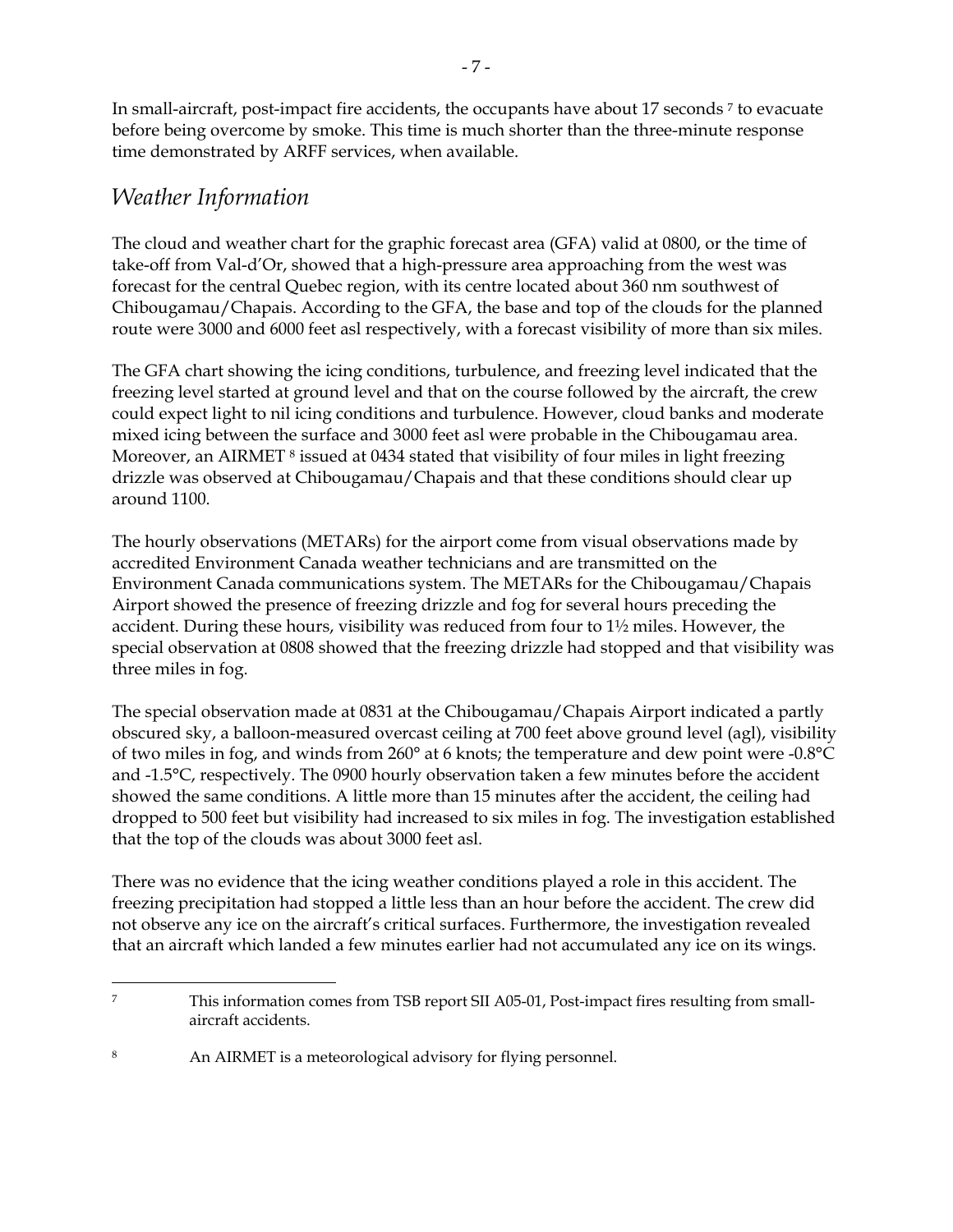In small-aircraft, post-impact fire accidents, the occupants have about 17 seconds 7 to evacuate before being overcome by smoke. This time is much shorter than the three-minute response time demonstrated by ARFF services, when available.

#### *Weather Information*

-

The cloud and weather chart for the graphic forecast area (GFA) valid at 0800, or the time of take-off from Val-d'Or, showed that a high-pressure area approaching from the west was forecast for the central Quebec region, with its centre located about 360 nm southwest of Chibougamau/Chapais. According to the GFA, the base and top of the clouds for the planned route were 3000 and 6000 feet asl respectively, with a forecast visibility of more than six miles.

The GFA chart showing the icing conditions, turbulence, and freezing level indicated that the freezing level started at ground level and that on the course followed by the aircraft, the crew could expect light to nil icing conditions and turbulence. However, cloud banks and moderate mixed icing between the surface and 3000 feet asl were probable in the Chibougamau area. Moreover, an AIRMET<sup>8</sup> issued at 0434 stated that visibility of four miles in light freezing drizzle was observed at Chibougamau/Chapais and that these conditions should clear up around 1100.

The hourly observations (METARs) for the airport come from visual observations made by accredited Environment Canada weather technicians and are transmitted on the Environment Canada communications system. The METARs for the Chibougamau/Chapais Airport showed the presence of freezing drizzle and fog for several hours preceding the accident. During these hours, visibility was reduced from four to 1½ miles. However, the special observation at 0808 showed that the freezing drizzle had stopped and that visibility was three miles in fog.

The special observation made at 0831 at the Chibougamau/Chapais Airport indicated a partly obscured sky, a balloon-measured overcast ceiling at 700 feet above ground level (agl), visibility of two miles in fog, and winds from 260° at 6 knots; the temperature and dew point were -0.8°C and -1.5°C, respectively. The 0900 hourly observation taken a few minutes before the accident showed the same conditions. A little more than 15 minutes after the accident, the ceiling had dropped to 500 feet but visibility had increased to six miles in fog. The investigation established that the top of the clouds was about 3000 feet asl.

There was no evidence that the icing weather conditions played a role in this accident. The freezing precipitation had stopped a little less than an hour before the accident. The crew did not observe any ice on the aircraft's critical surfaces. Furthermore, the investigation revealed that an aircraft which landed a few minutes earlier had not accumulated any ice on its wings.

<sup>7</sup> This information comes from TSB report SII A05-01, Post-impact fires resulting from smallaircraft accidents.

<sup>8</sup> An AIRMET is a meteorological advisory for flying personnel.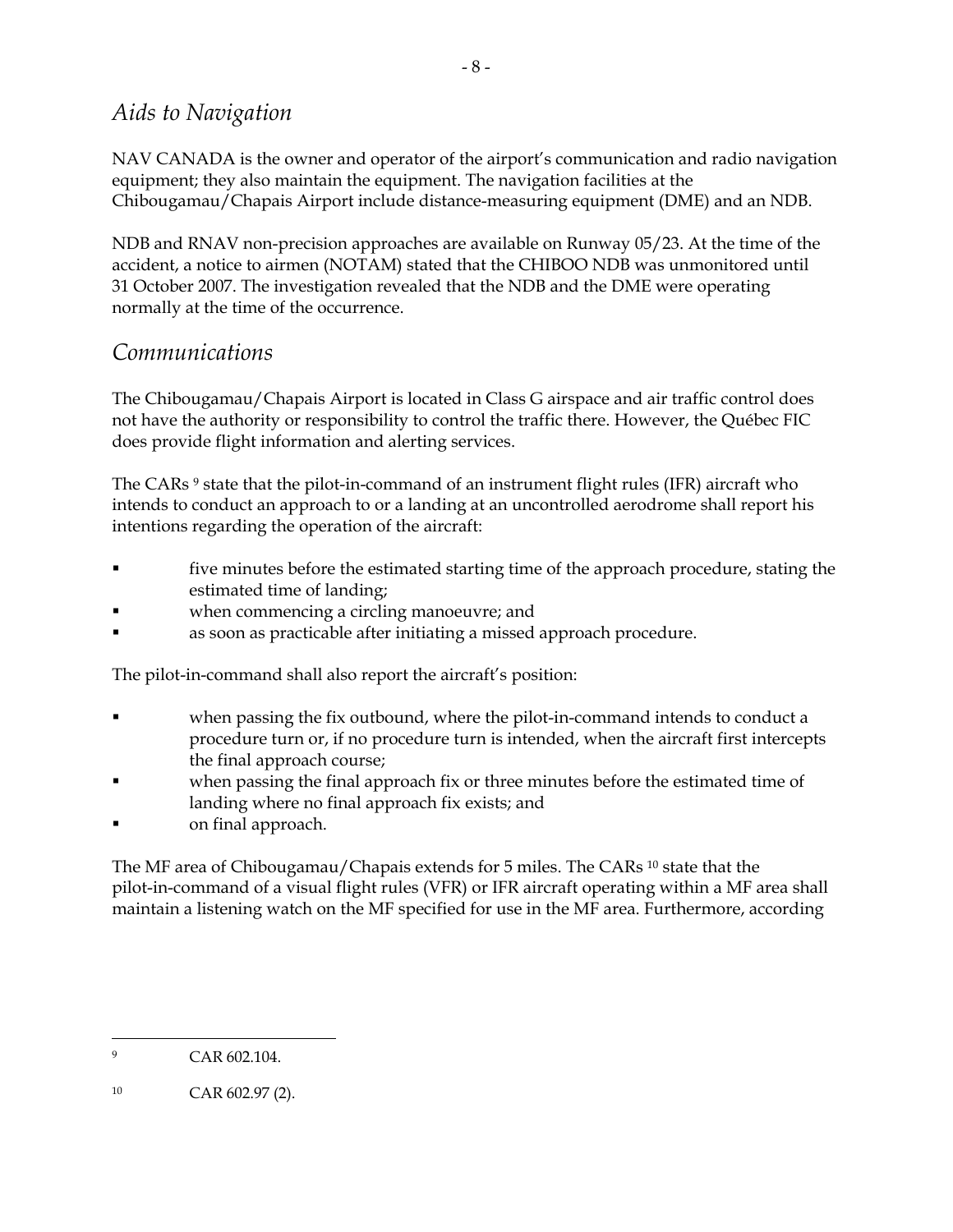#### *Aids to Navigation*

NAV CANADA is the owner and operator of the airport's communication and radio navigation equipment; they also maintain the equipment. The navigation facilities at the Chibougamau/Chapais Airport include distance-measuring equipment (DME) and an NDB.

NDB and RNAV non-precision approaches are available on Runway 05/23. At the time of the accident, a notice to airmen (NOTAM) stated that the CHIBOO NDB was unmonitored until 31 October 2007. The investigation revealed that the NDB and the DME were operating normally at the time of the occurrence.

#### *Communications*

The Chibougamau/Chapais Airport is located in Class G airspace and air traffic control does not have the authority or responsibility to control the traffic there. However, the Québec FIC does provide flight information and alerting services.

The CARs<sup>9</sup> state that the pilot-in-command of an instrument flight rules (IFR) aircraft who intends to conduct an approach to or a landing at an uncontrolled aerodrome shall report his intentions regarding the operation of the aircraft:

- five minutes before the estimated starting time of the approach procedure, stating the estimated time of landing;
- when commencing a circling manoeuvre; and
- as soon as practicable after initiating a missed approach procedure.

The pilot-in-command shall also report the aircraft's position:

- when passing the fix outbound, where the pilot-in-command intends to conduct a procedure turn or, if no procedure turn is intended, when the aircraft first intercepts the final approach course;
- when passing the final approach fix or three minutes before the estimated time of landing where no final approach fix exists; and
- on final approach.

The MF area of Chibougamau/Chapais extends for 5 miles. The CARs 10 state that the pilot-in-command of a visual flight rules (VFR) or IFR aircraft operating within a MF area shall maintain a listening watch on the MF specified for use in the MF area. Furthermore, according

 $\overline{a}$ 9 CAR 602 104

<sup>10</sup> CAR 602.97 (2).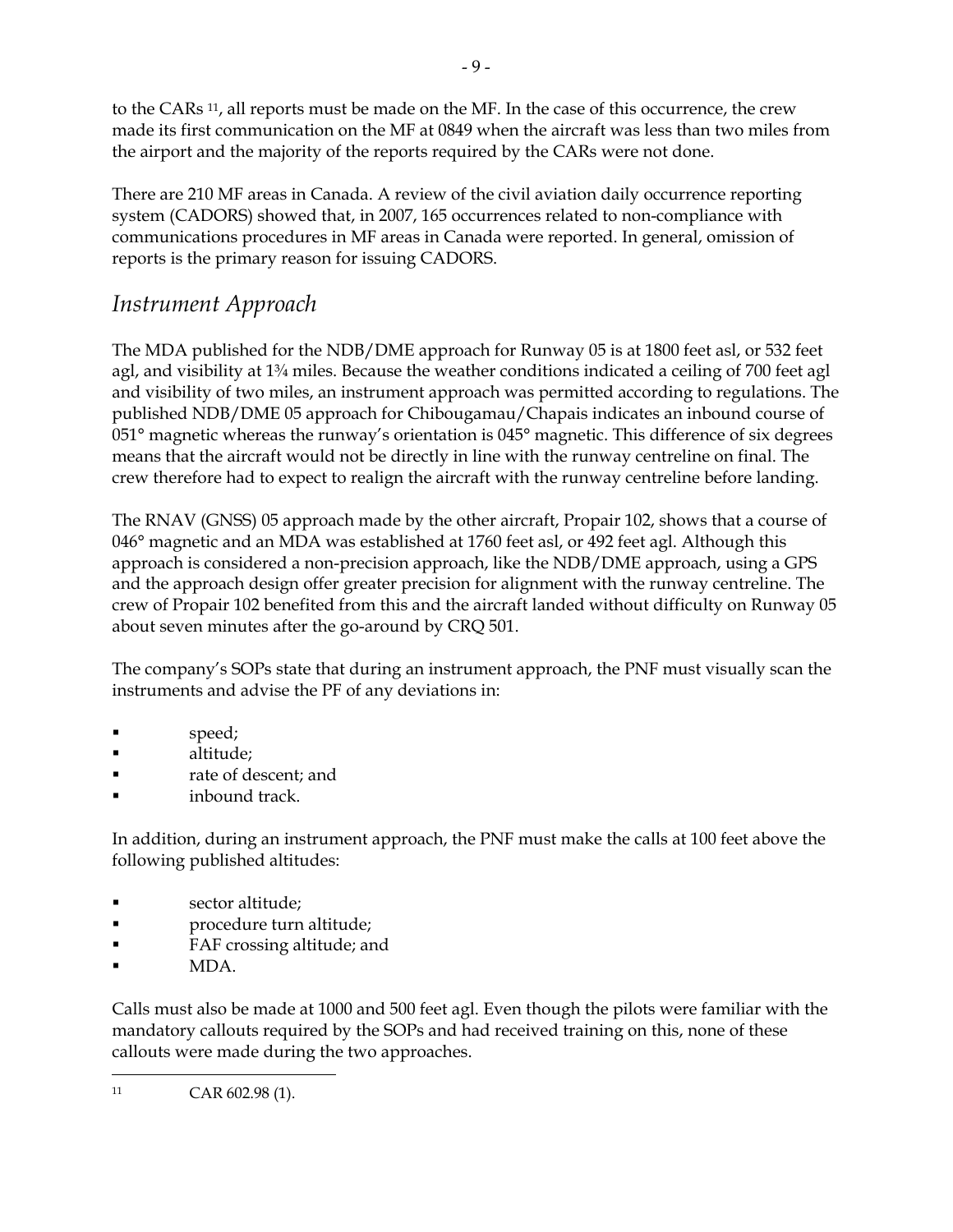to the CARs 11, all reports must be made on the MF. In the case of this occurrence, the crew made its first communication on the MF at 0849 when the aircraft was less than two miles from the airport and the majority of the reports required by the CARs were not done.

There are 210 MF areas in Canada. A review of the civil aviation daily occurrence reporting system (CADORS) showed that, in 2007, 165 occurrences related to non-compliance with communications procedures in MF areas in Canada were reported. In general, omission of reports is the primary reason for issuing CADORS.

#### *Instrument Approach*

The MDA published for the NDB/DME approach for Runway 05 is at 1800 feet asl, or 532 feet agl, and visibility at 1¾ miles. Because the weather conditions indicated a ceiling of 700 feet agl and visibility of two miles, an instrument approach was permitted according to regulations. The published NDB/DME 05 approach for Chibougamau/Chapais indicates an inbound course of 051° magnetic whereas the runway's orientation is 045° magnetic. This difference of six degrees means that the aircraft would not be directly in line with the runway centreline on final. The crew therefore had to expect to realign the aircraft with the runway centreline before landing.

The RNAV (GNSS) 05 approach made by the other aircraft, Propair 102, shows that a course of 046° magnetic and an MDA was established at 1760 feet asl, or 492 feet agl. Although this approach is considered a non-precision approach, like the NDB/DME approach, using a GPS and the approach design offer greater precision for alignment with the runway centreline. The crew of Propair 102 benefited from this and the aircraft landed without difficulty on Runway 05 about seven minutes after the go-around by CRQ 501.

The company's SOPs state that during an instrument approach, the PNF must visually scan the instruments and advise the PF of any deviations in:

- speed;
- altitude;
- rate of descent; and
- inbound track.

In addition, during an instrument approach, the PNF must make the calls at 100 feet above the following published altitudes:

- sector altitude;
- procedure turn altitude;
- FAF crossing altitude; and
- MDA.

Calls must also be made at 1000 and 500 feet agl. Even though the pilots were familiar with the mandatory callouts required by the SOPs and had received training on this, none of these callouts were made during the two approaches.

-11 CAR 602.98 (1).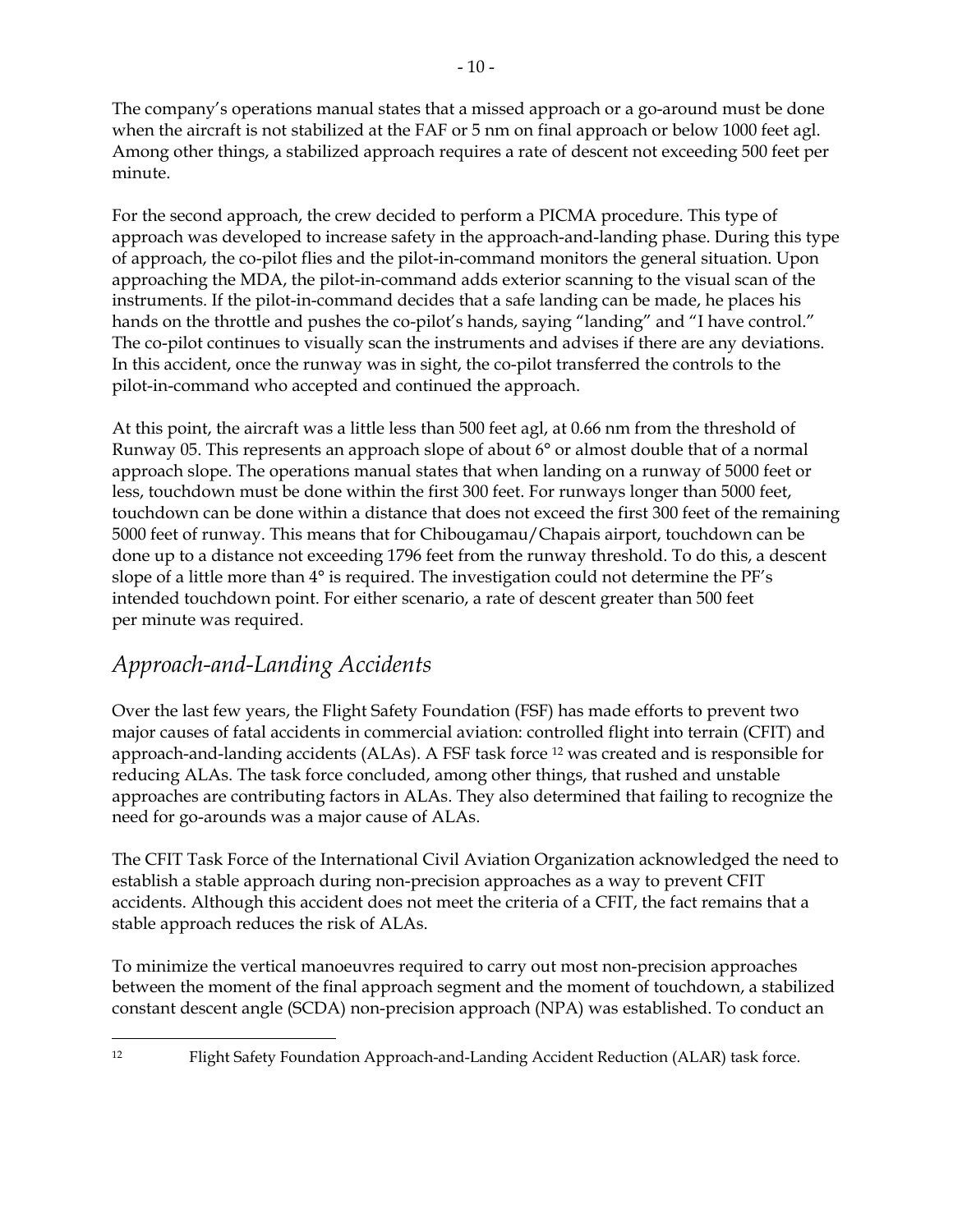The company's operations manual states that a missed approach or a go-around must be done when the aircraft is not stabilized at the FAF or 5 nm on final approach or below 1000 feet agl. Among other things, a stabilized approach requires a rate of descent not exceeding 500 feet per minute.

For the second approach, the crew decided to perform a PICMA procedure. This type of approach was developed to increase safety in the approach-and-landing phase. During this type of approach, the co-pilot flies and the pilot-in-command monitors the general situation. Upon approaching the MDA, the pilot-in-command adds exterior scanning to the visual scan of the instruments. If the pilot-in-command decides that a safe landing can be made, he places his hands on the throttle and pushes the co-pilot's hands, saying "landing" and "I have control." The co-pilot continues to visually scan the instruments and advises if there are any deviations. In this accident, once the runway was in sight, the co-pilot transferred the controls to the pilot-in-command who accepted and continued the approach.

At this point, the aircraft was a little less than 500 feet agl, at 0.66 nm from the threshold of Runway 05. This represents an approach slope of about 6° or almost double that of a normal approach slope. The operations manual states that when landing on a runway of 5000 feet or less, touchdown must be done within the first 300 feet. For runways longer than 5000 feet, touchdown can be done within a distance that does not exceed the first 300 feet of the remaining 5000 feet of runway. This means that for Chibougamau/Chapais airport, touchdown can be done up to a distance not exceeding 1796 feet from the runway threshold. To do this, a descent slope of a little more than 4° is required. The investigation could not determine the PF's intended touchdown point. For either scenario, a rate of descent greater than 500 feet per minute was required.

#### *Approach-and-Landing Accidents*

<u>.</u>

Over the last few years, the Flight Safety Foundation (FSF) has made efforts to prevent two major causes of fatal accidents in commercial aviation: controlled flight into terrain (CFIT) and approach-and-landing accidents (ALAs). A FSF task force 12 was created and is responsible for reducing ALAs. The task force concluded, among other things, that rushed and unstable approaches are contributing factors in ALAs. They also determined that failing to recognize the need for go-arounds was a major cause of ALAs.

The CFIT Task Force of the International Civil Aviation Organization acknowledged the need to establish a stable approach during non-precision approaches as a way to prevent CFIT accidents. Although this accident does not meet the criteria of a CFIT, the fact remains that a stable approach reduces the risk of ALAs.

To minimize the vertical manoeuvres required to carry out most non-precision approaches between the moment of the final approach segment and the moment of touchdown, a stabilized constant descent angle (SCDA) non-precision approach (NPA) was established. To conduct an

<sup>12</sup> Flight Safety Foundation Approach-and-Landing Accident Reduction (ALAR) task force.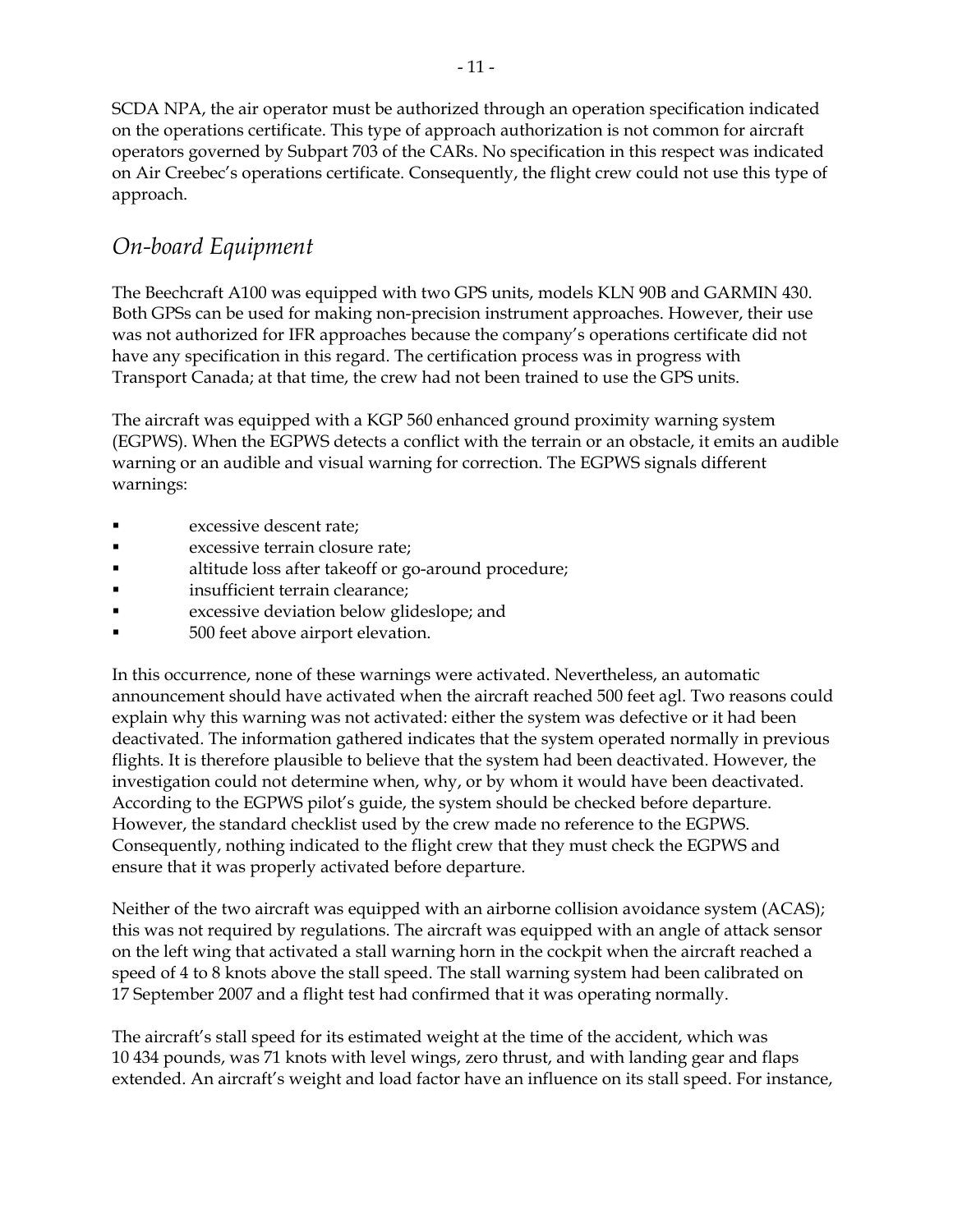SCDA NPA, the air operator must be authorized through an operation specification indicated on the operations certificate. This type of approach authorization is not common for aircraft operators governed by Subpart 703 of the CARs. No specification in this respect was indicated on Air Creebec's operations certificate. Consequently, the flight crew could not use this type of approach.

#### *On-board Equipment*

The Beechcraft A100 was equipped with two GPS units, models KLN 90B and GARMIN 430. Both GPSs can be used for making non-precision instrument approaches. However, their use was not authorized for IFR approaches because the company's operations certificate did not have any specification in this regard. The certification process was in progress with Transport Canada; at that time, the crew had not been trained to use the GPS units.

The aircraft was equipped with a KGP 560 enhanced ground proximity warning system (EGPWS). When the EGPWS detects a conflict with the terrain or an obstacle, it emits an audible warning or an audible and visual warning for correction. The EGPWS signals different warnings:

- excessive descent rate;
- excessive terrain closure rate;
- altitude loss after takeoff or go-around procedure;
- insufficient terrain clearance;
- **Excessive deviation below glideslope; and**
- 500 feet above airport elevation.

In this occurrence, none of these warnings were activated. Nevertheless, an automatic announcement should have activated when the aircraft reached 500 feet agl. Two reasons could explain why this warning was not activated: either the system was defective or it had been deactivated. The information gathered indicates that the system operated normally in previous flights. It is therefore plausible to believe that the system had been deactivated. However, the investigation could not determine when, why, or by whom it would have been deactivated. According to the EGPWS pilot's guide, the system should be checked before departure. However, the standard checklist used by the crew made no reference to the EGPWS. Consequently, nothing indicated to the flight crew that they must check the EGPWS and ensure that it was properly activated before departure.

Neither of the two aircraft was equipped with an airborne collision avoidance system (ACAS); this was not required by regulations. The aircraft was equipped with an angle of attack sensor on the left wing that activated a stall warning horn in the cockpit when the aircraft reached a speed of 4 to 8 knots above the stall speed. The stall warning system had been calibrated on 17 September 2007 and a flight test had confirmed that it was operating normally.

The aircraft's stall speed for its estimated weight at the time of the accident, which was 10 434 pounds, was 71 knots with level wings, zero thrust, and with landing gear and flaps extended. An aircraft's weight and load factor have an influence on its stall speed. For instance,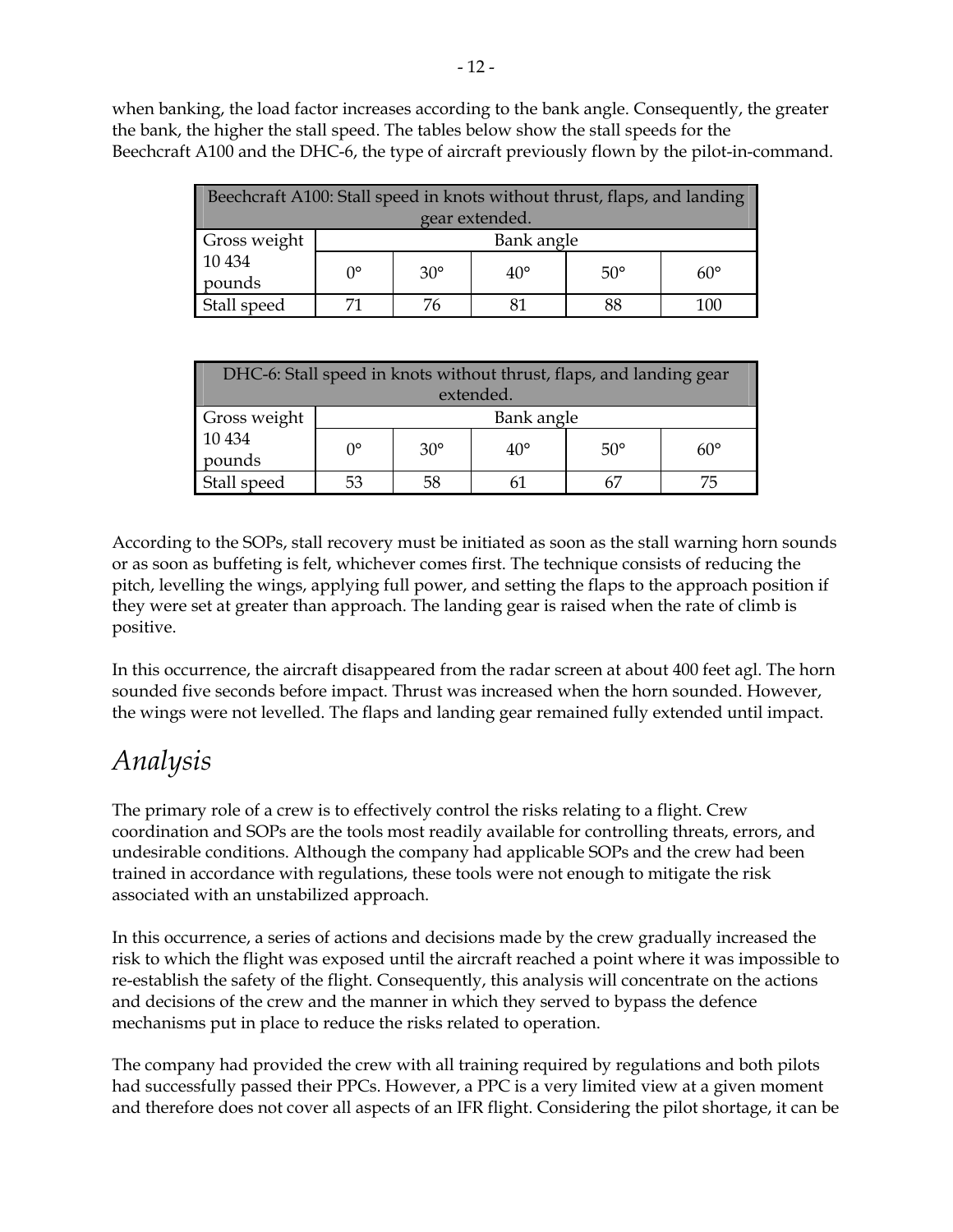when banking, the load factor increases according to the bank angle. Consequently, the greater the bank, the higher the stall speed. The tables below show the stall speeds for the Beechcraft A100 and the DHC-6, the type of aircraft previously flown by the pilot-in-command.

| Beechcraft A100: Stall speed in knots without thrust, flaps, and landing |             |              |              |            |            |  |
|--------------------------------------------------------------------------|-------------|--------------|--------------|------------|------------|--|
| gear extended.                                                           |             |              |              |            |            |  |
| Gross weight                                                             | Bank angle  |              |              |            |            |  |
| 10 4 34<br>pounds                                                        | $0^{\circ}$ | $30^{\circ}$ | $40^{\circ}$ | $50^\circ$ | $60^\circ$ |  |
| Stall speed                                                              |             | 76           |              | 88         | 100        |  |

| DHC-6: Stall speed in knots without thrust, flaps, and landing gear |             |            |              |            |            |  |
|---------------------------------------------------------------------|-------------|------------|--------------|------------|------------|--|
| extended.                                                           |             |            |              |            |            |  |
| Gross weight                                                        | Bank angle  |            |              |            |            |  |
| 10 4 34                                                             | $0^{\circ}$ | $30^\circ$ | $40^{\circ}$ | $50^\circ$ | $60^\circ$ |  |
| pounds                                                              |             |            |              |            |            |  |
| Stall speed                                                         |             | 58         |              |            |            |  |

According to the SOPs, stall recovery must be initiated as soon as the stall warning horn sounds or as soon as buffeting is felt, whichever comes first. The technique consists of reducing the pitch, levelling the wings, applying full power, and setting the flaps to the approach position if they were set at greater than approach. The landing gear is raised when the rate of climb is positive.

In this occurrence, the aircraft disappeared from the radar screen at about 400 feet agl. The horn sounded five seconds before impact. Thrust was increased when the horn sounded. However, the wings were not levelled. The flaps and landing gear remained fully extended until impact.

### *Analysis*

The primary role of a crew is to effectively control the risks relating to a flight. Crew coordination and SOPs are the tools most readily available for controlling threats, errors, and undesirable conditions. Although the company had applicable SOPs and the crew had been trained in accordance with regulations, these tools were not enough to mitigate the risk associated with an unstabilized approach.

In this occurrence, a series of actions and decisions made by the crew gradually increased the risk to which the flight was exposed until the aircraft reached a point where it was impossible to re-establish the safety of the flight. Consequently, this analysis will concentrate on the actions and decisions of the crew and the manner in which they served to bypass the defence mechanisms put in place to reduce the risks related to operation.

The company had provided the crew with all training required by regulations and both pilots had successfully passed their PPCs. However, a PPC is a very limited view at a given moment and therefore does not cover all aspects of an IFR flight. Considering the pilot shortage, it can be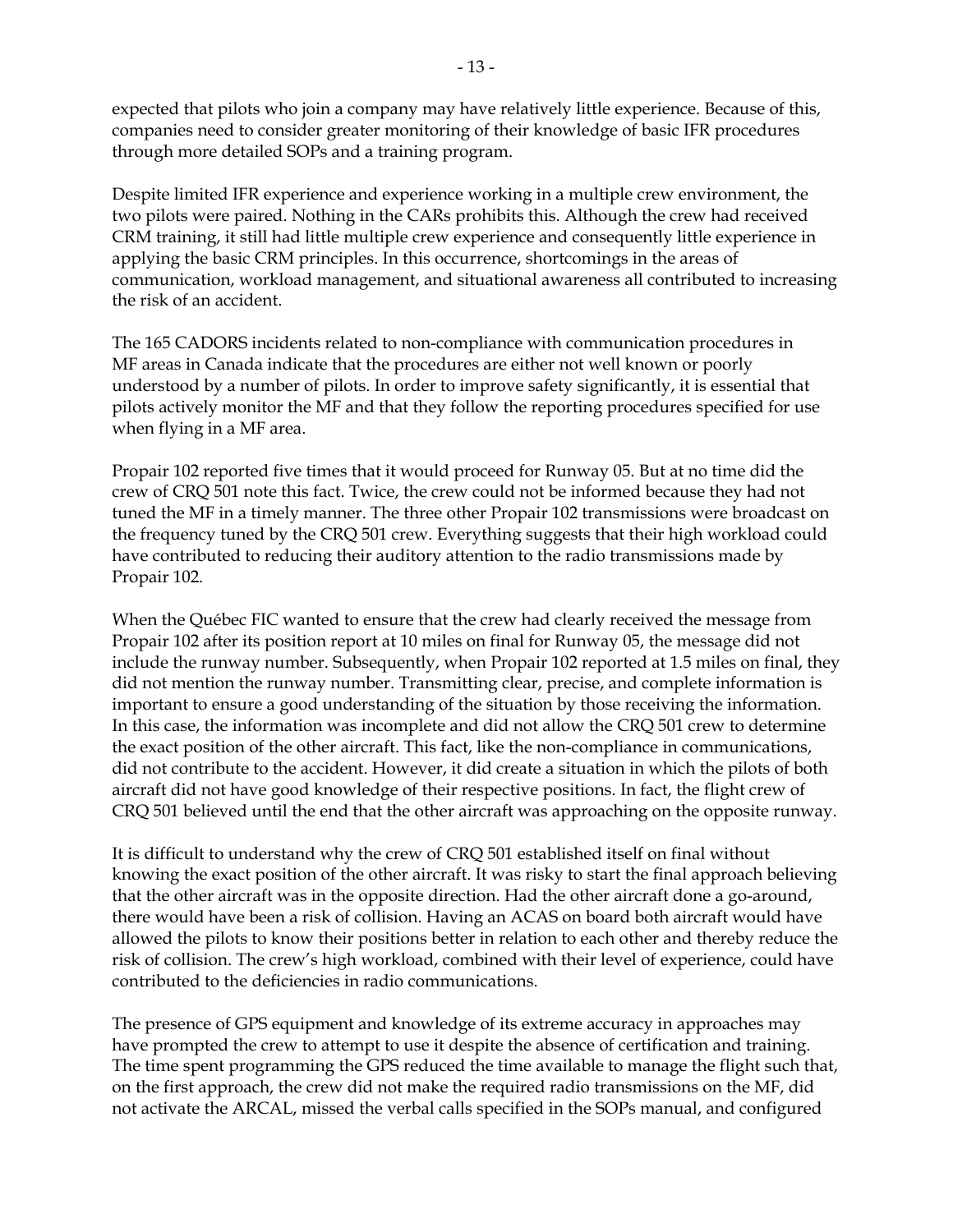expected that pilots who join a company may have relatively little experience. Because of this, companies need to consider greater monitoring of their knowledge of basic IFR procedures through more detailed SOPs and a training program.

Despite limited IFR experience and experience working in a multiple crew environment, the two pilots were paired. Nothing in the CARs prohibits this. Although the crew had received CRM training, it still had little multiple crew experience and consequently little experience in applying the basic CRM principles. In this occurrence, shortcomings in the areas of communication, workload management, and situational awareness all contributed to increasing the risk of an accident.

The 165 CADORS incidents related to non-compliance with communication procedures in MF areas in Canada indicate that the procedures are either not well known or poorly understood by a number of pilots. In order to improve safety significantly, it is essential that pilots actively monitor the MF and that they follow the reporting procedures specified for use when flying in a MF area.

Propair 102 reported five times that it would proceed for Runway 05. But at no time did the crew of CRQ 501 note this fact. Twice, the crew could not be informed because they had not tuned the MF in a timely manner. The three other Propair 102 transmissions were broadcast on the frequency tuned by the CRQ 501 crew. Everything suggests that their high workload could have contributed to reducing their auditory attention to the radio transmissions made by Propair 102.

When the Québec FIC wanted to ensure that the crew had clearly received the message from Propair 102 after its position report at 10 miles on final for Runway 05, the message did not include the runway number. Subsequently, when Propair 102 reported at 1.5 miles on final, they did not mention the runway number. Transmitting clear, precise, and complete information is important to ensure a good understanding of the situation by those receiving the information. In this case, the information was incomplete and did not allow the CRQ 501 crew to determine the exact position of the other aircraft. This fact, like the non-compliance in communications, did not contribute to the accident. However, it did create a situation in which the pilots of both aircraft did not have good knowledge of their respective positions. In fact, the flight crew of CRQ 501 believed until the end that the other aircraft was approaching on the opposite runway.

It is difficult to understand why the crew of CRQ 501 established itself on final without knowing the exact position of the other aircraft. It was risky to start the final approach believing that the other aircraft was in the opposite direction. Had the other aircraft done a go-around, there would have been a risk of collision. Having an ACAS on board both aircraft would have allowed the pilots to know their positions better in relation to each other and thereby reduce the risk of collision. The crew's high workload, combined with their level of experience, could have contributed to the deficiencies in radio communications.

The presence of GPS equipment and knowledge of its extreme accuracy in approaches may have prompted the crew to attempt to use it despite the absence of certification and training. The time spent programming the GPS reduced the time available to manage the flight such that, on the first approach, the crew did not make the required radio transmissions on the MF, did not activate the ARCAL, missed the verbal calls specified in the SOPs manual, and configured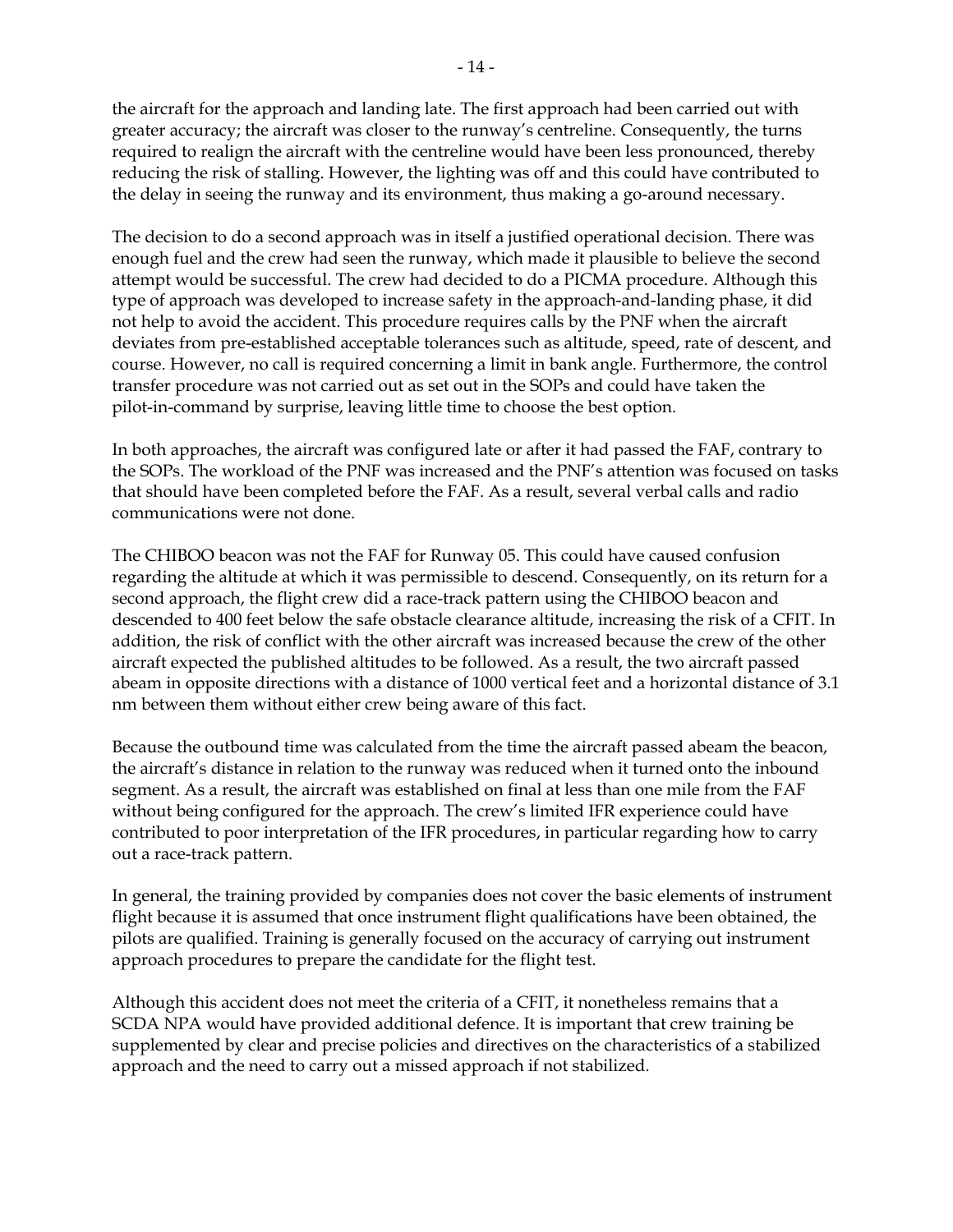the aircraft for the approach and landing late. The first approach had been carried out with greater accuracy; the aircraft was closer to the runway's centreline. Consequently, the turns required to realign the aircraft with the centreline would have been less pronounced, thereby reducing the risk of stalling. However, the lighting was off and this could have contributed to the delay in seeing the runway and its environment, thus making a go-around necessary.

The decision to do a second approach was in itself a justified operational decision. There was enough fuel and the crew had seen the runway, which made it plausible to believe the second attempt would be successful. The crew had decided to do a PICMA procedure. Although this type of approach was developed to increase safety in the approach-and-landing phase, it did not help to avoid the accident. This procedure requires calls by the PNF when the aircraft deviates from pre-established acceptable tolerances such as altitude, speed, rate of descent, and course. However, no call is required concerning a limit in bank angle. Furthermore, the control transfer procedure was not carried out as set out in the SOPs and could have taken the pilot-in-command by surprise, leaving little time to choose the best option.

In both approaches, the aircraft was configured late or after it had passed the FAF, contrary to the SOPs. The workload of the PNF was increased and the PNF's attention was focused on tasks that should have been completed before the FAF. As a result, several verbal calls and radio communications were not done.

The CHIBOO beacon was not the FAF for Runway 05. This could have caused confusion regarding the altitude at which it was permissible to descend. Consequently, on its return for a second approach, the flight crew did a race-track pattern using the CHIBOO beacon and descended to 400 feet below the safe obstacle clearance altitude, increasing the risk of a CFIT. In addition, the risk of conflict with the other aircraft was increased because the crew of the other aircraft expected the published altitudes to be followed. As a result, the two aircraft passed abeam in opposite directions with a distance of 1000 vertical feet and a horizontal distance of 3.1 nm between them without either crew being aware of this fact.

Because the outbound time was calculated from the time the aircraft passed abeam the beacon, the aircraft's distance in relation to the runway was reduced when it turned onto the inbound segment. As a result, the aircraft was established on final at less than one mile from the FAF without being configured for the approach. The crew's limited IFR experience could have contributed to poor interpretation of the IFR procedures, in particular regarding how to carry out a race-track pattern.

In general, the training provided by companies does not cover the basic elements of instrument flight because it is assumed that once instrument flight qualifications have been obtained, the pilots are qualified. Training is generally focused on the accuracy of carrying out instrument approach procedures to prepare the candidate for the flight test.

Although this accident does not meet the criteria of a CFIT, it nonetheless remains that a SCDA NPA would have provided additional defence. It is important that crew training be supplemented by clear and precise policies and directives on the characteristics of a stabilized approach and the need to carry out a missed approach if not stabilized.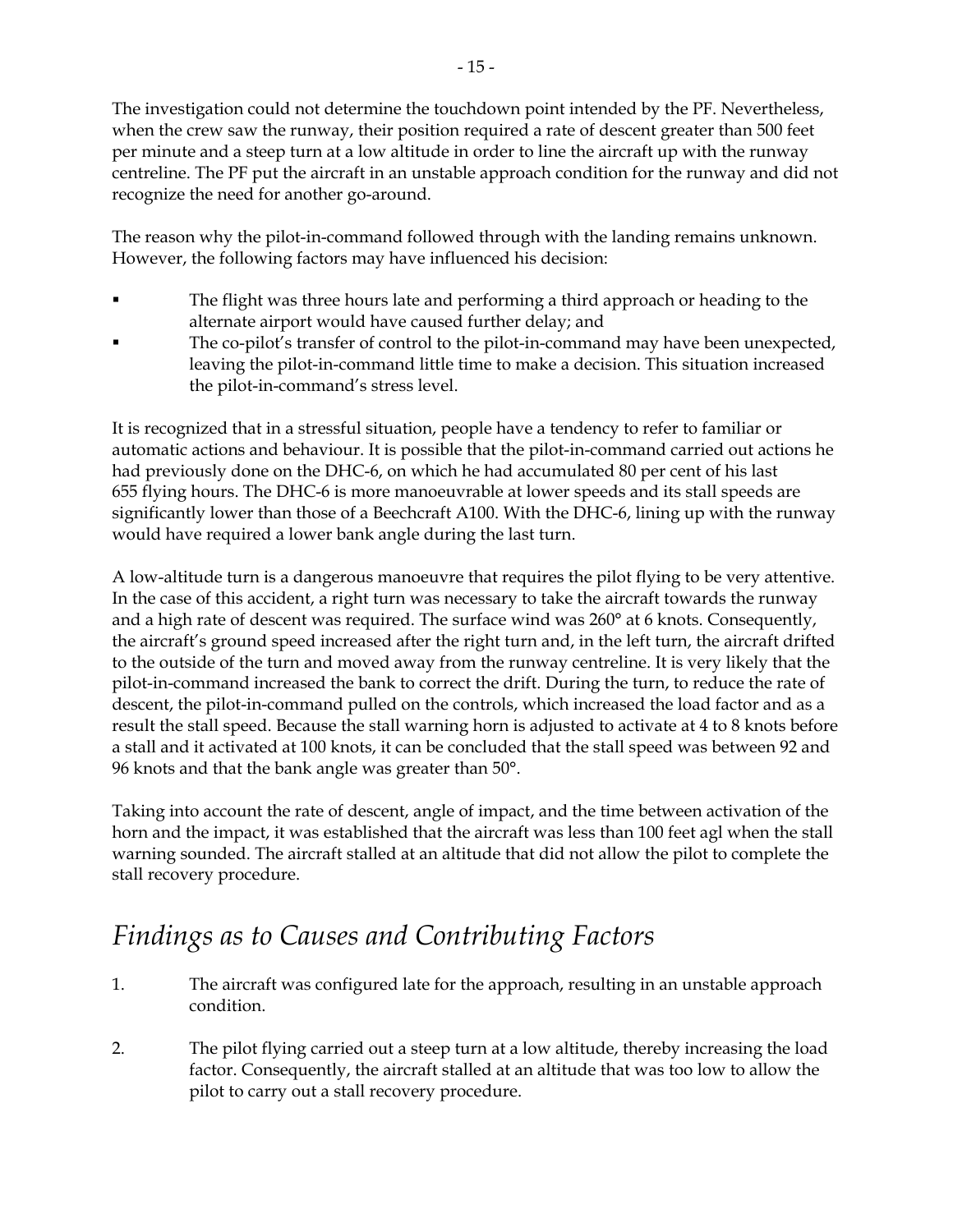The investigation could not determine the touchdown point intended by the PF. Nevertheless, when the crew saw the runway, their position required a rate of descent greater than 500 feet per minute and a steep turn at a low altitude in order to line the aircraft up with the runway centreline. The PF put the aircraft in an unstable approach condition for the runway and did not recognize the need for another go-around.

The reason why the pilot-in-command followed through with the landing remains unknown. However, the following factors may have influenced his decision:

- The flight was three hours late and performing a third approach or heading to the alternate airport would have caused further delay; and
- The co-pilot's transfer of control to the pilot-in-command may have been unexpected, leaving the pilot-in-command little time to make a decision. This situation increased the pilot-in-command's stress level.

It is recognized that in a stressful situation, people have a tendency to refer to familiar or automatic actions and behaviour. It is possible that the pilot-in-command carried out actions he had previously done on the DHC-6, on which he had accumulated 80 per cent of his last 655 flying hours. The DHC-6 is more manoeuvrable at lower speeds and its stall speeds are significantly lower than those of a Beechcraft A100. With the DHC-6, lining up with the runway would have required a lower bank angle during the last turn.

A low-altitude turn is a dangerous manoeuvre that requires the pilot flying to be very attentive. In the case of this accident, a right turn was necessary to take the aircraft towards the runway and a high rate of descent was required. The surface wind was 260° at 6 knots. Consequently, the aircraft's ground speed increased after the right turn and, in the left turn, the aircraft drifted to the outside of the turn and moved away from the runway centreline. It is very likely that the pilot-in-command increased the bank to correct the drift. During the turn, to reduce the rate of descent, the pilot-in-command pulled on the controls, which increased the load factor and as a result the stall speed. Because the stall warning horn is adjusted to activate at 4 to 8 knots before a stall and it activated at 100 knots, it can be concluded that the stall speed was between 92 and 96 knots and that the bank angle was greater than 50°.

Taking into account the rate of descent, angle of impact, and the time between activation of the horn and the impact, it was established that the aircraft was less than 100 feet agl when the stall warning sounded. The aircraft stalled at an altitude that did not allow the pilot to complete the stall recovery procedure.

### *Findings as to Causes and Contributing Factors*

- 1. The aircraft was configured late for the approach, resulting in an unstable approach condition.
- 2. The pilot flying carried out a steep turn at a low altitude, thereby increasing the load factor. Consequently, the aircraft stalled at an altitude that was too low to allow the pilot to carry out a stall recovery procedure.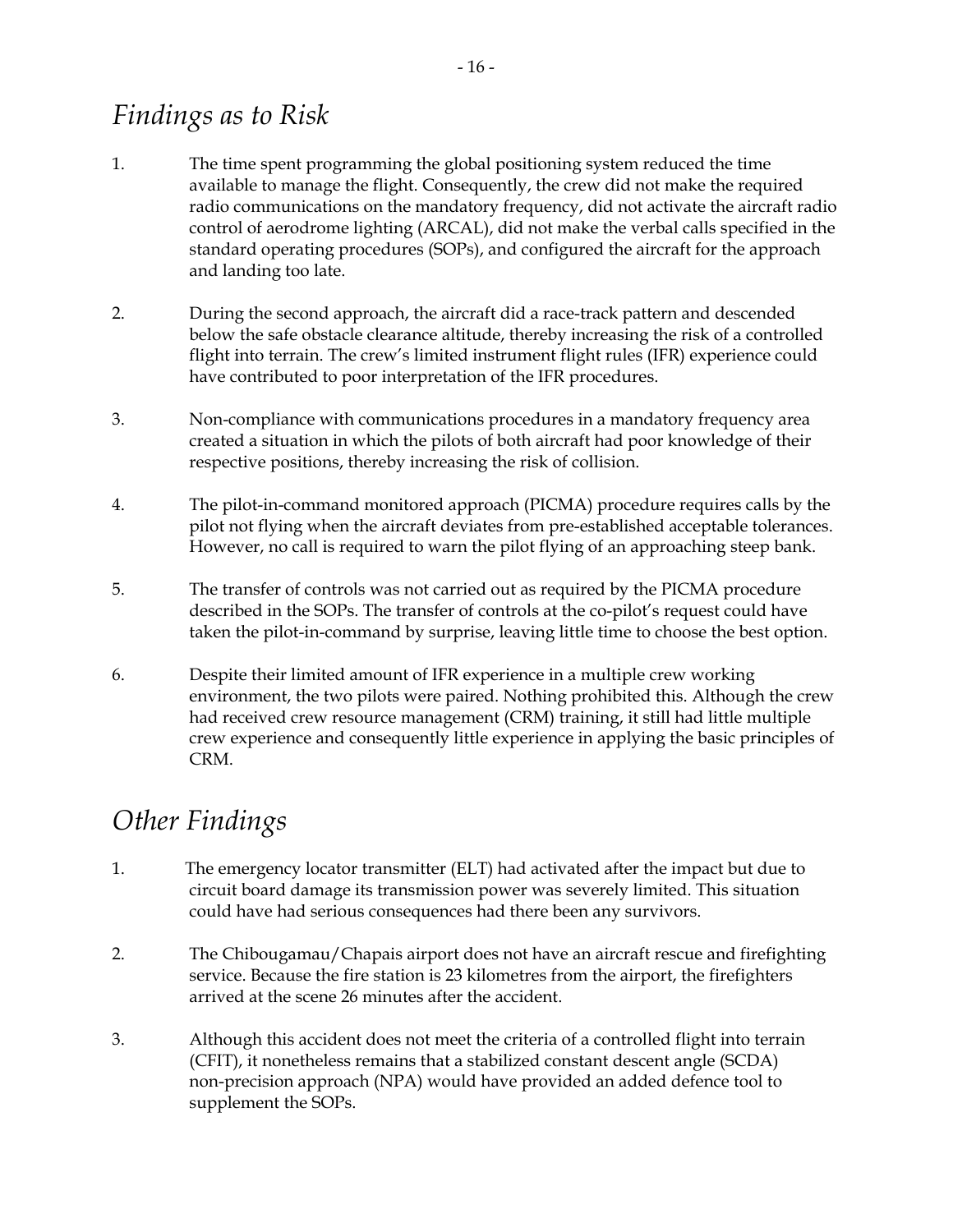### *Findings as to Risk*

- 1. The time spent programming the global positioning system reduced the time available to manage the flight. Consequently, the crew did not make the required radio communications on the mandatory frequency, did not activate the aircraft radio control of aerodrome lighting (ARCAL), did not make the verbal calls specified in the standard operating procedures (SOPs), and configured the aircraft for the approach and landing too late.
- 2. During the second approach, the aircraft did a race-track pattern and descended below the safe obstacle clearance altitude, thereby increasing the risk of a controlled flight into terrain. The crew's limited instrument flight rules (IFR) experience could have contributed to poor interpretation of the IFR procedures.
- 3. Non-compliance with communications procedures in a mandatory frequency area created a situation in which the pilots of both aircraft had poor knowledge of their respective positions, thereby increasing the risk of collision.
- 4. The pilot-in-command monitored approach (PICMA) procedure requires calls by the pilot not flying when the aircraft deviates from pre-established acceptable tolerances. However, no call is required to warn the pilot flying of an approaching steep bank.
- 5. The transfer of controls was not carried out as required by the PICMA procedure described in the SOPs. The transfer of controls at the co-pilot's request could have taken the pilot-in-command by surprise, leaving little time to choose the best option.
- 6. Despite their limited amount of IFR experience in a multiple crew working environment, the two pilots were paired. Nothing prohibited this. Although the crew had received crew resource management (CRM) training, it still had little multiple crew experience and consequently little experience in applying the basic principles of CRM.

### *Other Findings*

- 1. The emergency locator transmitter (ELT) had activated after the impact but due to circuit board damage its transmission power was severely limited. This situation could have had serious consequences had there been any survivors.
- 2. The Chibougamau/Chapais airport does not have an aircraft rescue and firefighting service. Because the fire station is 23 kilometres from the airport, the firefighters arrived at the scene 26 minutes after the accident.
- 3. Although this accident does not meet the criteria of a controlled flight into terrain (CFIT), it nonetheless remains that a stabilized constant descent angle (SCDA) non-precision approach (NPA) would have provided an added defence tool to supplement the SOPs.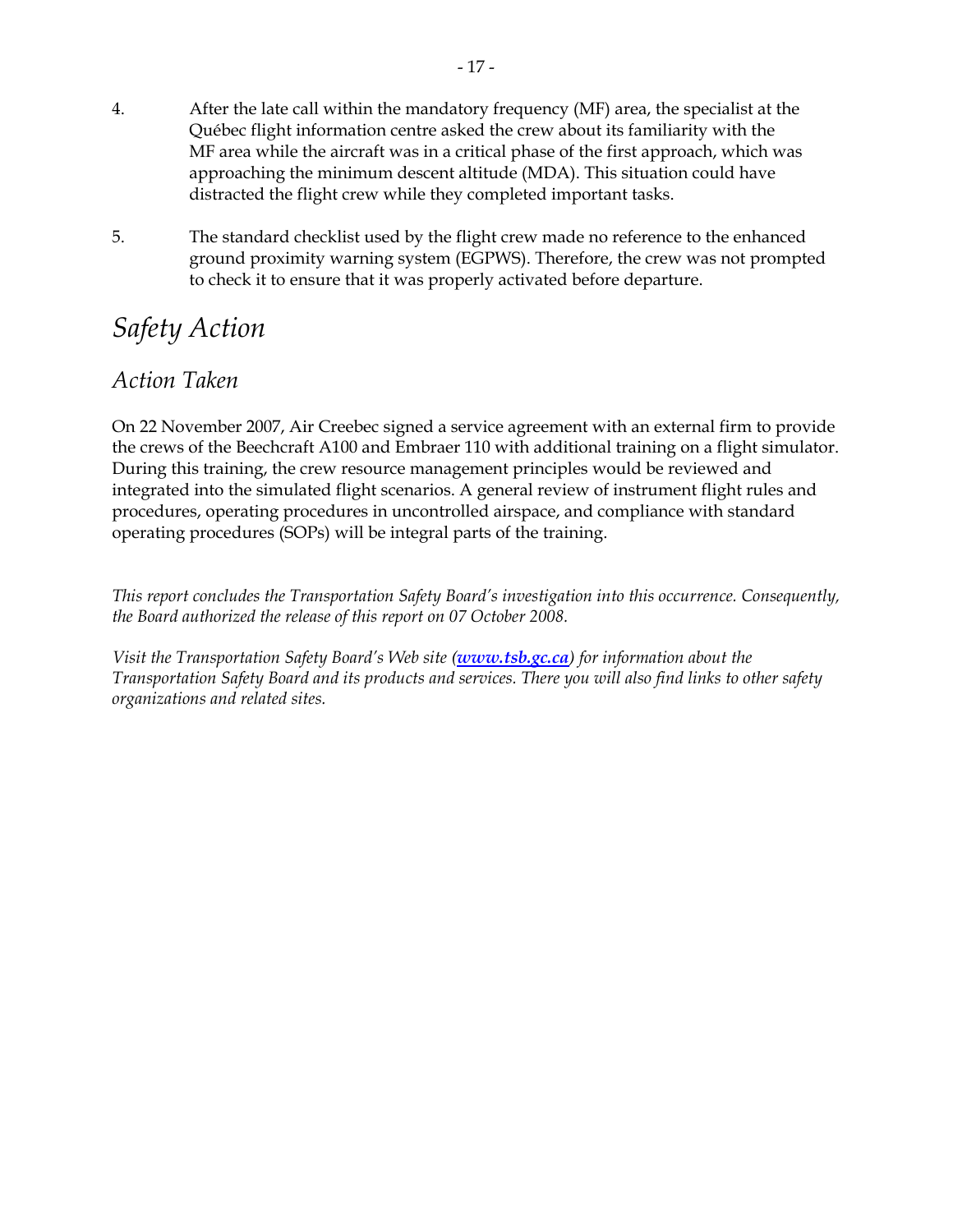- 4. After the late call within the mandatory frequency (MF) area, the specialist at the Québec flight information centre asked the crew about its familiarity with the MF area while the aircraft was in a critical phase of the first approach, which was approaching the minimum descent altitude (MDA). This situation could have distracted the flight crew while they completed important tasks.
- 5. The standard checklist used by the flight crew made no reference to the enhanced ground proximity warning system (EGPWS). Therefore, the crew was not prompted to check it to ensure that it was properly activated before departure.

### *Safety Action*

#### *Action Taken*

On 22 November 2007, Air Creebec signed a service agreement with an external firm to provide the crews of the Beechcraft A100 and Embraer 110 with additional training on a flight simulator. During this training, the crew resource management principles would be reviewed and integrated into the simulated flight scenarios. A general review of instrument flight rules and procedures, operating procedures in uncontrolled airspace, and compliance with standard operating procedures (SOPs) will be integral parts of the training.

*This report concludes the Transportation Safety Board's investigation into this occurrence. Consequently, the Board authorized the release of this report on 07 October 2008.* 

*Visit the Transportation Safety Board's Web site (www.tsb.gc.ca) for information about the Transportation Safety Board and its products and services. There you will also find links to other safety organizations and related sites.*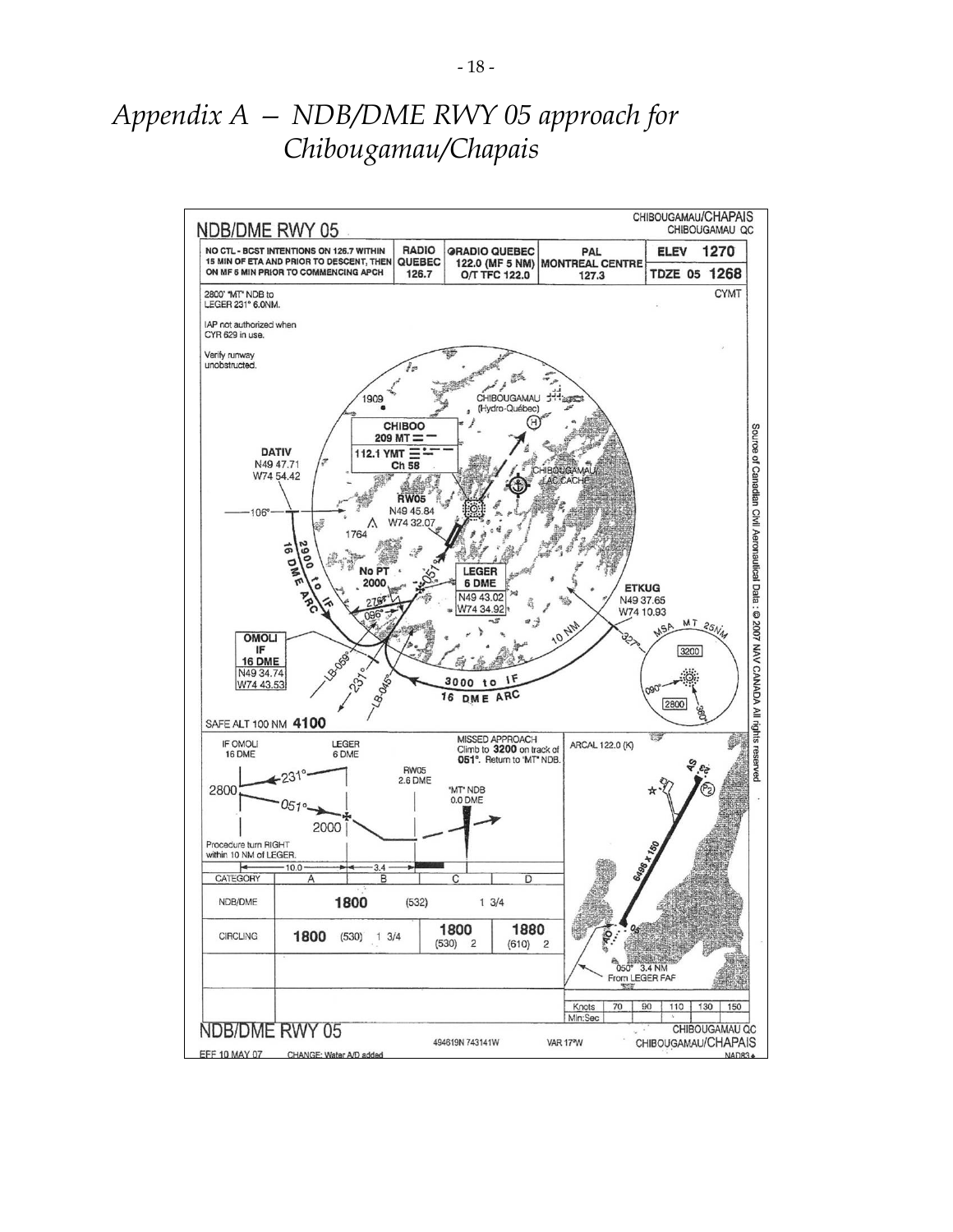### *Appendix A — NDB/DME RWY 05 approach for Chibougamau/Chapais*

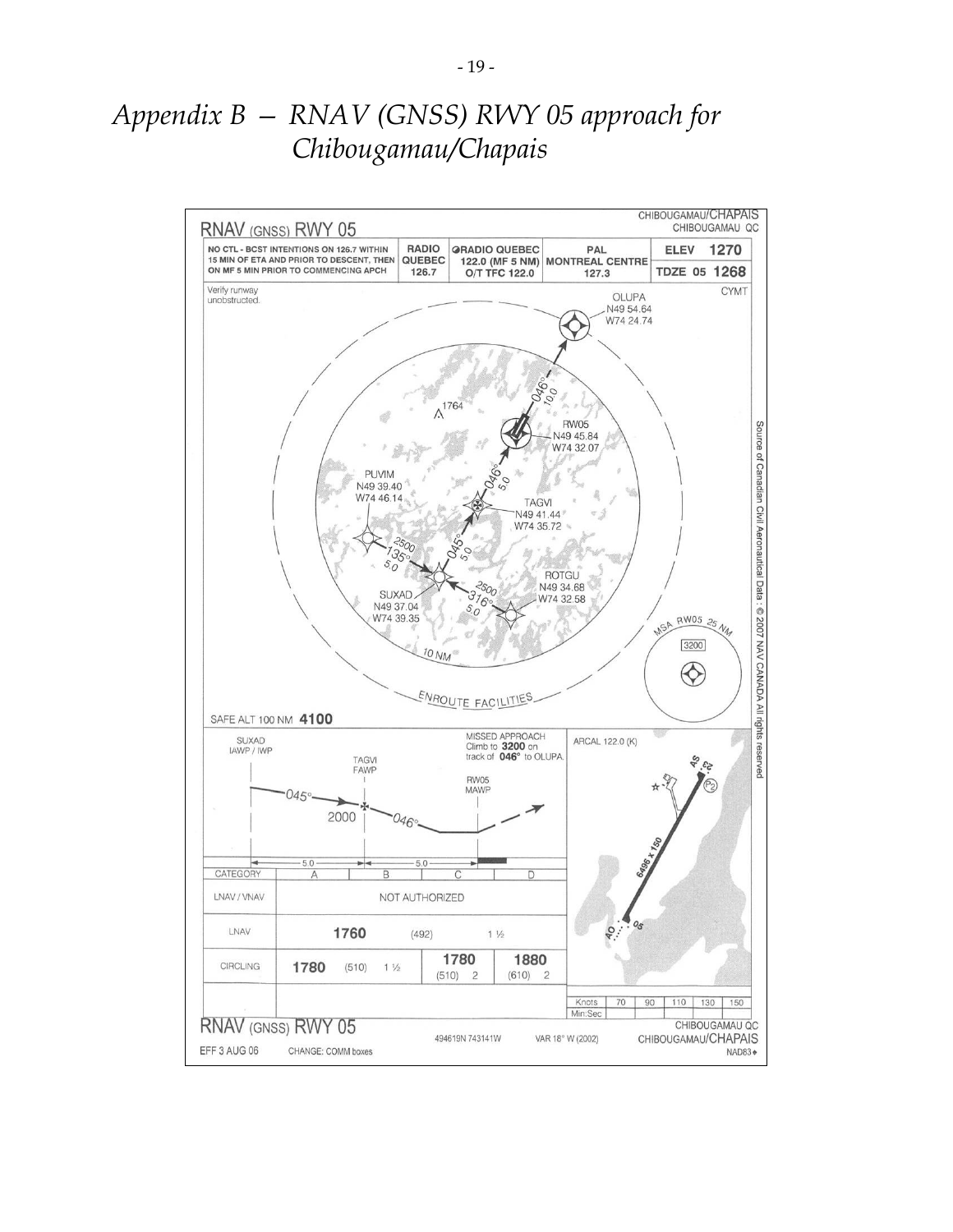### *Appendix B — RNAV (GNSS) RWY 05 approach for Chibougamau/Chapais*